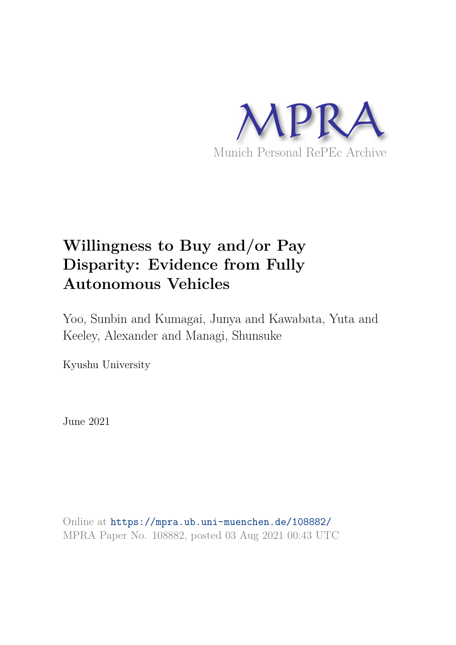

# **Willingness to Buy and/or Pay Disparity: Evidence from Fully Autonomous Vehicles**

Yoo, Sunbin and Kumagai, Junya and Kawabata, Yuta and Keeley, Alexander and Managi, Shunsuke

Kyushu University

June 2021

Online at https://mpra.ub.uni-muenchen.de/108882/ MPRA Paper No. 108882, posted 03 Aug 2021 00:43 UTC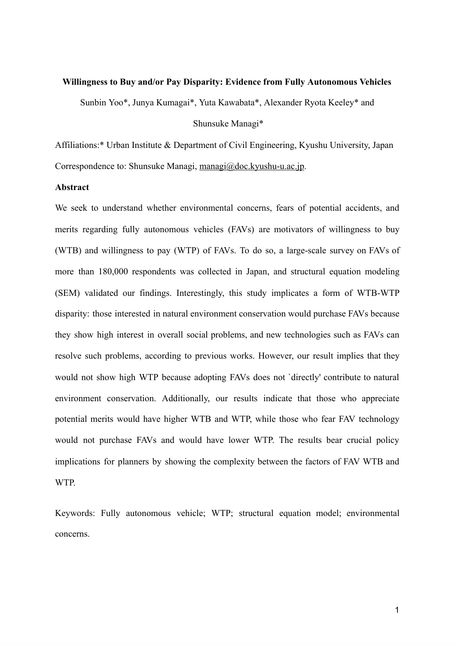#### **Willingness to Buy and/or Pay Disparity: Evidence from Fully Autonomous Vehicles**

Sunbin Yoo\*, Junya Kumagai\*, Yuta Kawabata\*, Alexander Ryota Keeley\* and

#### Shunsuke Managi\*

Affiliations:\* Urban Institute & Department of Civil Engineering, Kyushu University, Japan Correspondence to: Shunsuke Managi, managi@doc.kyushu-u.ac.jp.

#### **Abstract**

We seek to understand whether environmental concerns, fears of potential accidents, and merits regarding fully autonomous vehicles (FAVs) are motivators of willingness to buy (WTB) and willingness to pay (WTP) of FAVs. To do so, a large-scale survey on FAVs of more than 180,000 respondents was collected in Japan, and structural equation modeling (SEM) validated our findings. Interestingly, this study implicates a form of WTB-WTP disparity: those interested in natural environment conservation would purchase FAVs because they show high interest in overall social problems, and new technologies such as FAVs can resolve such problems, according to previous works. However, our result implies that they would not show high WTP because adopting FAVs does not `directly' contribute to natural environment conservation. Additionally, our results indicate that those who appreciate potential merits would have higher WTB and WTP, while those who fear FAV technology would not purchase FAVs and would have lower WTP. The results bear crucial policy implications for planners by showing the complexity between the factors of FAV WTB and WTP.

Keywords: Fully autonomous vehicle; WTP; structural equation model; environmental concerns.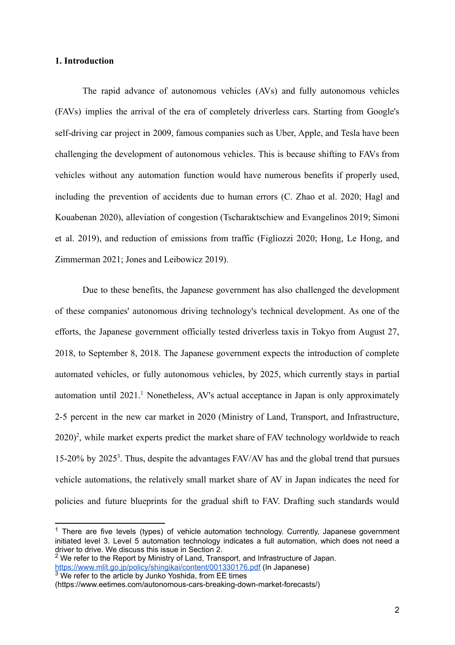#### **1. Introduction**

The rapid advance of autonomous vehicles (AVs) and fully autonomous vehicles (FAVs) implies the arrival of the era of completely driverless cars. Starting from Google's self-driving car project in 2009, famous companies such as Uber, Apple, and Tesla have been challenging the development of autonomous vehicles. This is because shifting to FAVs from vehicles without any automation function would have numerous benefits if properly used, including the prevention of accidents due to human errors (C. Zhao et al. 2020; Hagl and [Kouabenan 2020\)](https://paperpile.com/c/4dwmEb/wzmq+W0Kk), alleviation of congestion (Tscharaktschiew and Evangelinos 2019; Simoni et al. 2019), and reduction of emissions from traffi[c \(Figliozzi 2020](https://paperpile.com/c/4dwmEb/7Qko)[; Hong, Le Hong, and](https://paperpile.com/c/4dwmEb/Gmso) [Zimmerman 2021](https://paperpile.com/c/4dwmEb/Gmso); [Jones and Leibowicz 2019](https://paperpile.com/c/4dwmEb/i6Lj)).

Due to these benefits, the Japanese government has also challenged the development of these companies' autonomous driving technology's technical development. As one of the efforts, the Japanese government officially tested driverless taxis in Tokyo from August 27, 2018, to September 8, 2018. The Japanese government expects the introduction of complete automated vehicles, or fully autonomous vehicles, by 2025, which currently stays in partial automation until 2021.<sup>1</sup> Nonetheless, AV's actual acceptance in Japan is only approximately 2-5 percent in the new car market in 2020 (Ministry of Land, Transport, and Infrastructure,  $2020$ <sup>2</sup>, while market experts predict the market share of FAV technology worldwide to reach 15-20% by 2025<sup>3</sup>. Thus, despite the advantages FAV/AV has and the global trend that pursues vehicle automations, the relatively small market share of AV in Japan indicates the need for policies and future blueprints for the gradual shift to FAV. Drafting such standards would

<sup>&</sup>lt;sup>1</sup> There are five levels (types) of vehicle automation technology. Currently, Japanese government initiated level 3. Level 5 automation technology indicates a full automation, which does not need a driver to drive. We discuss this issue in Section 2.

 $2$  We refer to the Report by Ministry of Land, Transport, and Infrastructure of Japan. <https://www.mlit.go.jp/policy/shingikai/content/001330176.pdf> (In Japanese)

 $3$  We refer to the article by Junko Yoshida, from EE times

<sup>(</sup>https://www.eetimes.com/autonomous-cars-breaking-down-market-forecasts/)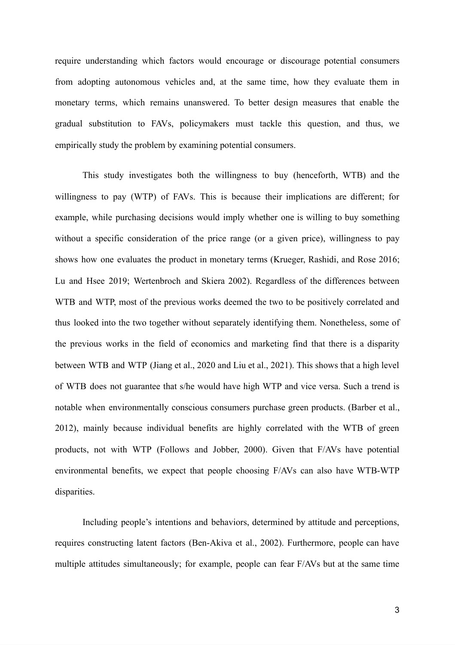require understanding which factors would encourage or discourage potential consumers from adopting autonomous vehicles and, at the same time, how they evaluate them in monetary terms, which remains unanswered. To better design measures that enable the gradual substitution to FAVs, policymakers must tackle this question, and thus, we empirically study the problem by examining potential consumers.

This study investigates both the willingness to buy (henceforth, WTB) and the willingness to pay (WTP) of FAVs. This is because their implications are different; for example, while purchasing decisions would imply whether one is willing to buy something without a specific consideration of the price range (or a given price), willingness to pay shows how one evaluates the product in monetary terms [\(Krueger, Rashidi, and Rose 2016;](https://paperpile.com/c/4dwmEb/ZGbh+SSAY) [Lu and Hsee 2019](https://paperpile.com/c/4dwmEb/ZGbh+SSAY); Wertenbroch and Skiera 2002). Regardless of the differences between WTB and WTP, most of the previous works deemed the two to be positively correlated and thus looked into the two together without separately identifying them. Nonetheless, some of the previous works in the field of economics and marketing find that there is a disparity between WTB and WTP (Jiang et al., 2020 and Liu et al., 2021). This shows that a high level of WTB does not guarantee that s/he would have high WTP and vice versa. Such a trend is notable when environmentally conscious consumers purchase green products. (Barber et al., 2012), mainly because individual benefits are highly correlated with the WTB of green products, not with WTP (Follows and Jobber, 2000). Given that F/AVs have potential environmental benefits, we expect that people choosing F/AVs can also have WTB-WTP disparities.

Including people's intentions and behaviors, determined by attitude and perceptions, requires constructing latent factors (Ben-Akiva et al., 2002). Furthermore, people can have multiple attitudes simultaneously; for example, people can fear F/AVs but at the same time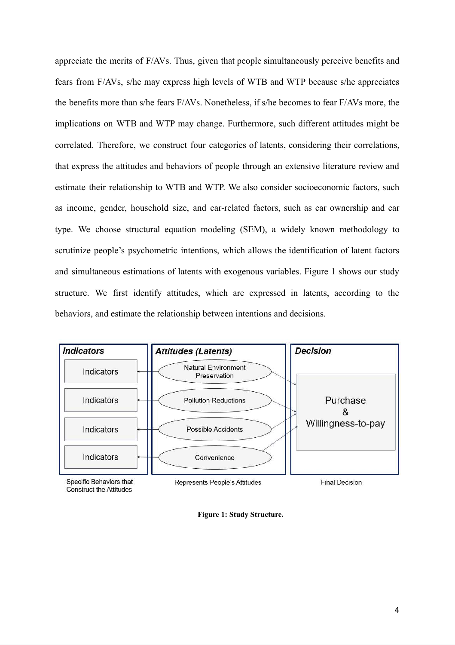appreciate the merits of F/AVs. Thus, given that people simultaneously perceive benefits and fears from F/AVs, s/he may express high levels of WTB and WTP because s/he appreciates the benefits more than s/he fears F/AVs. Nonetheless, if s/he becomes to fear F/AVs more, the implications on WTB and WTP may change. Furthermore, such different attitudes might be correlated. Therefore, we construct four categories of latents, considering their correlations, that express the attitudes and behaviors of people through an extensive literature review and estimate their relationship to WTB and WTP. We also consider socioeconomic factors, such as income, gender, household size, and car-related factors, such as car ownership and car type. We choose structural equation modeling (SEM), a widely known methodology to scrutinize people's psychometric intentions, which allows the identification of latent factors and simultaneous estimations of latents with exogenous variables. Figure 1 shows our study structure. We first identify attitudes, which are expressed in latents, according to the behaviors, and estimate the relationship between intentions and decisions.



Specific Behaviors that **Construct the Attitudes** 

Represents People's Attitudes

**Final Decision** 

**Figure 1: Study Structure.**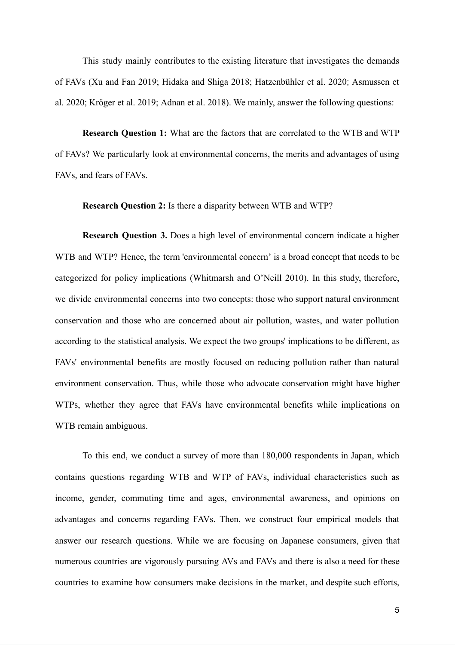This study mainly contributes to the existing literature that investigates the demands of FAVs ( [Xu and Fan 2019; Hidaka and Shiga 2018](https://paperpile.com/c/4dwmEb/DqKI+Gzy0) ; [Hatzenbühler et al. 2020](https://paperpile.com/c/4dwmEb/nO6S) ; [Asmussen et](https://paperpile.com/c/4dwmEb/Fe7M)  al. 2020; Kröger et al. 2019; [Adnan et al. 2018](https://paperpile.com/c/4dwmEb/UPm1)). We mainly, answer the following questions:

**Research Question 1:** What are the factors that are correlated to the WTB and WTP of FAVs? We particularly look at environmental concerns, the merits and advantages of using FAVs, and fears of FAVs.

**Research Question 2:** Is there a disparity between WTB and WTP?

**Research Question 3.** Does a high level of environmental concern indicate a higher WTB and WTP? Hence, the term 'environmental concern' is a broad concept that needs to be categorized for policy implications [\(Whitmarsh and O'Neill 2010\)](https://paperpile.com/c/4dwmEb/69dW). In this study, therefore, we divide environmental concerns into two concepts: those who support natural environment conservation and those who are concerned about air pollution, wastes, and water pollution according to the statistical analysis. We expect the two groups' implications to be different, as FAVs' environmental benefits are mostly focused on reducing pollution rather than natural environment conservation. Thus, while those who advocate conservation might have higher WTPs, whether they agree that FAVs have environmental benefits while implications on WTB remain ambiguous.

To this end, we conduct a survey of more than 180,000 respondents in Japan, which contains questions regarding WTB and WTP of FAVs, individual characteristics such as income, gender, commuting time and ages, environmental awareness, and opinions on advantages and concerns regarding FAVs. Then, we construct four empirical models that answer our research questions. While we are focusing on Japanese consumers, given that numerous countries are vigorously pursuing AVs and FAVs and there is also a need for these countries to examine how consumers make decisions in the market, and despite such efforts,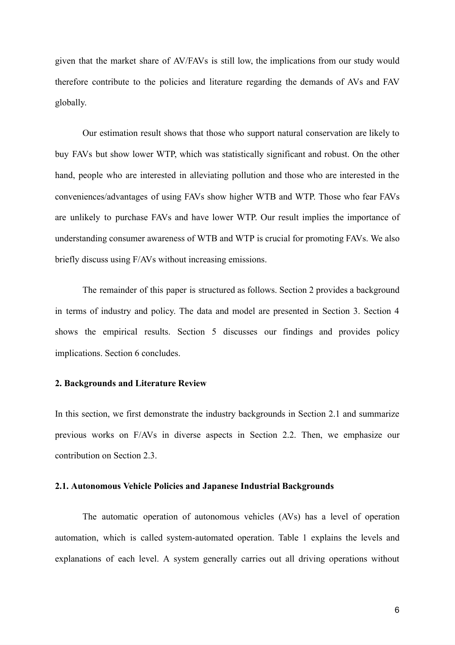given that the market share of AV/FAVs is still low, the implications from our study would therefore contribute to the policies and literature regarding the demands of AVs and FAV globally.

Our estimation result shows that those who support natural conservation are likely to buy FAVs but show lower WTP, which was statistically significant and robust. On the other hand, people who are interested in alleviating pollution and those who are interested in the conveniences/advantages of using FAVs show higher WTB and WTP. Those who fear FAVs are unlikely to purchase FAVs and have lower WTP. Our result implies the importance of understanding consumer awareness of WTB and WTP is crucial for promoting FAVs. We also briefly discuss using F/AVs without increasing emissions.

The remainder of this paper is structured as follows. Section 2 provides a background in terms of industry and policy. The data and model are presented in Section 3. Section 4 shows the empirical results. Section 5 discusses our findings and provides policy implications. Section 6 concludes.

#### **2. Backgrounds and Literature Review**

In this section, we first demonstrate the industry backgrounds in Section 2.1 and summarize previous works on F/AVs in diverse aspects in Section 2.2. Then, we emphasize our contribution on Section 2.3.

#### **2.1. Autonomous Vehicle Policies and Japanese Industrial Backgrounds**

The automatic operation of autonomous vehicles (AVs) has a level of operation automation, which is called system-automated operation. Table 1 explains the levels and explanations of each level. A system generally carries out all driving operations without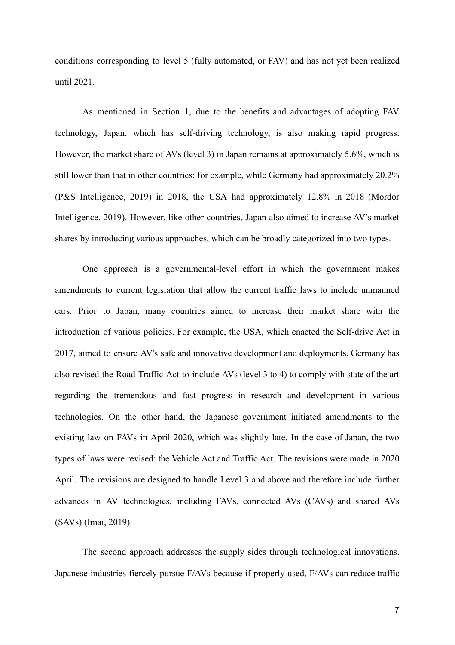conditions corresponding to level 5 (fully automated, or FAV) and has not yet been realized until 2021.

As mentioned in Section 1, due to the benefits and advantages of adopting FAV technology, Japan, which has self-driving technology, is also making rapid progress. However, the market share of AVs (level 3) in Japan remains at approximately  $5.6\%$ , which is still lower than that in other countries; for example, while Germany had approximately 20.2% (P&S Intelligence, 2019) in 2018, the USA had approximately 12.8% in 2018 (Mordor Intelligence, 2019). However, like other countries, Japan also aimed to increase AV's market shares by introducing various approaches, which can be broadly categorized into two types.

One approach is a governmental-level effort in which the government makes amendments to current legislation that allow the current traffic laws to include unmanned cars. Prior to Japan, many countries aimed to increase their market share with the introduction of various policies. For example, the USA, which enacted the Self-drive Act in 2017, aimed to ensure AV's safe and innovative development and deployments. Germany has also revised the Road Traffic Act to include AVs (level 3 to 4) to comply with state of the art regarding the tremendous and fast progress in research and development in various technologies. On the other hand, the Japanese government initiated amendments to the existing law on FAVs in April 2020, which was slightly late. In the case of Japan, the two types of laws were revised: the Vehicle Act and Traffic Act. The revisions were made in 2020 April. The revisions are designed to handle Level 3 and above and therefore include further advances in AV technologies, including FAVs, connected AVs (CAVs) and shared AVs (SAVs) (Imai, 2019).

The second approach addresses the supply sides through technological innovations. Japanese industries fiercely pursue F/AVs because if properly used, F/AVs can reduce traffic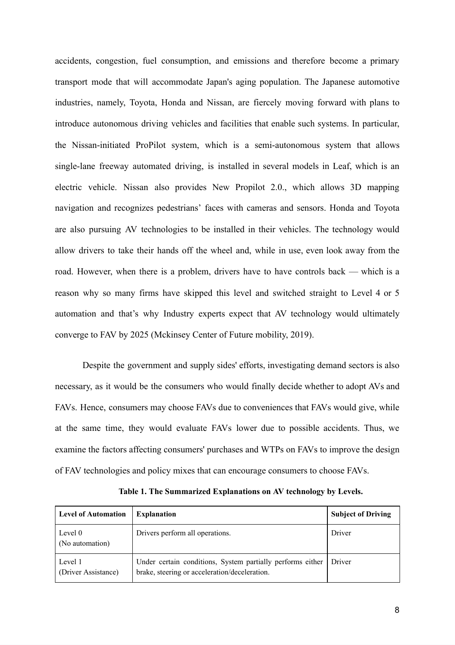accidents, congestion, fuel consumption, and emissions and therefore become a primary transport mode that will accommodate Japan's aging population. The Japanese automotive industries, namely, Toyota, Honda and Nissan, are fiercely moving forward with plans to introduce autonomous driving vehicles and facilities that enable such systems. In particular, the Nissan-initiated ProPilot system, which is a semi-autonomous system that allows single-lane freeway automated driving, is installed in several models in Leaf, which is an electric vehicle. Nissan also provides New Propilot 2.0., which allows 3D mapping navigation and recognizes pedestrians' faces with cameras and sensors. Honda and Toyota are also pursuing AV technologies to be installed in their vehicles. The technology would allow drivers to take their hands off the wheel and, while in use, even look away from the road. However, when there is a problem, drivers have to have controls back — which is a reason why so many firms have skipped this level and switched straight to Level 4 or 5 automation and that's why Industry experts expect that AV technology would ultimately converge to FAV by 2025 (Mckinsey Center of Future mobility, 2019).

Despite the government and supply sides' efforts, investigating demand sectors is also necessary, as it would be the consumers who would finally decide whether to adopt AVs and FAVs. Hence, consumers may choose FAVs due to conveniences that FAVs would give, while at the same time, they would evaluate FAVs lower due to possible accidents. Thus, we examine the factors affecting consumers' purchases and WTPs on FAVs to improve the design of FAV technologies and policy mixes that can encourage consumers to choose FAVs.

| <b>Level of Automation</b>     | <b>Explanation</b>                                                                                          | <b>Subject of Driving</b> |
|--------------------------------|-------------------------------------------------------------------------------------------------------------|---------------------------|
| Level 0<br>(No automation)     | Drivers perform all operations.                                                                             | Driver                    |
| Level 1<br>(Driver Assistance) | Under certain conditions, System partially performs either<br>brake, steering or acceleration/deceleration. | Driver                    |

**Table 1. The Summarized Explanations on AV technology by Levels.**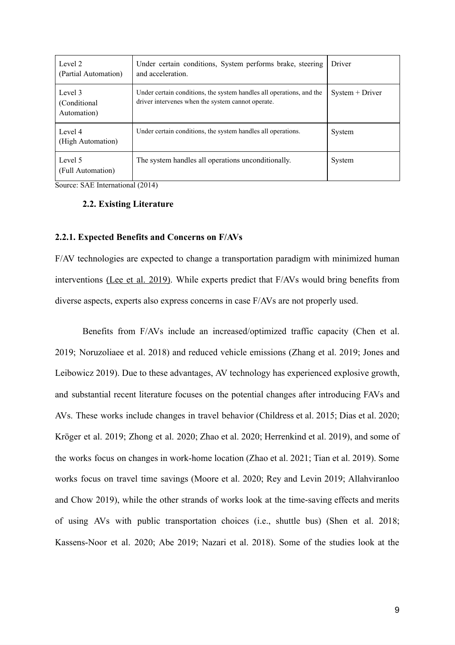| Level 2<br>(Partial Automation)        | Under certain conditions, System performs brake, steering<br>and acceleration.                                            | Driver            |
|----------------------------------------|---------------------------------------------------------------------------------------------------------------------------|-------------------|
| Level 3<br>(Conditional<br>Automation) | Under certain conditions, the system handles all operations, and the<br>driver intervenes when the system cannot operate. | $System + Driver$ |
| Level 4<br>(High Automation)           | Under certain conditions, the system handles all operations.                                                              | System            |
| Level 5<br>(Full Automation)           | The system handles all operations unconditionally.                                                                        | System            |

Source: SAE International (2014)

#### **2.2. Existing Literature**

#### **2.2.1. Expected Benefits and Concerns on F/AVs**

F/AV technologies are expected to change a transportation paradigm with minimized human interventions(Lee et al. 2019). While experts predict that  $F/AVs$  would bring benefits from diverse aspects, experts also express concerns in case F/AVs are not properly used.

Benefits from F/AVs include an increased/optimized traffic capacity [\(Chen et al.](https://paperpile.com/c/4dwmEb/dGu7+ICul)  [2019; Noruzoliaee et al. 2018\)](https://paperpile.com/c/4dwmEb/dGu7+ICul) and reduced vehicle emissions [\(Zhang et al. 2019; Jones and](https://paperpile.com/c/4dwmEb/1Ovk+i6Lj) Leibowicz2019). Due to these advantages, AV technology has experienced explosive growth, and substantial recent literature focuses on the potential changes after introducing FAVs and AVs. These works include changes in travel behavior (Childress et al. 2015; Dias et al. 2020; Krögeret al. 2019; Zhong et al. 2020; Zhao et al. 2020; Herrenkind et al. 2019), and some of the works focus on changes in work-home location [\(Zhao et al. 2021; Tian et al. 2019](https://paperpile.com/c/4dwmEb/5n45+rdDT) [\) .](https://paperpile.com/c/4dwmEb/5n45+rdDT) Some works focus on travel time savings (Moore et al. 2020; Rey and Levin 2019; Allahviran[loo](https://paperpile.com/c/4dwmEb/BBac+vF5G+o71j) and Chow 2019), while the other strands of works look at the time-saving effects and merits of using AVs with public transportation choices (i.e., shuttle bus) ( [Shen et al. 2018;](https://paperpile.com/c/4dwmEb/DTou+NbU5+jmke+mhEy) [Kassens-Noor et al. 2020; Abe 2019; Nazari et al. 2018\)](https://paperpile.com/c/4dwmEb/DTou+NbU5+jmke+mhEy) . Some of the studies look atthe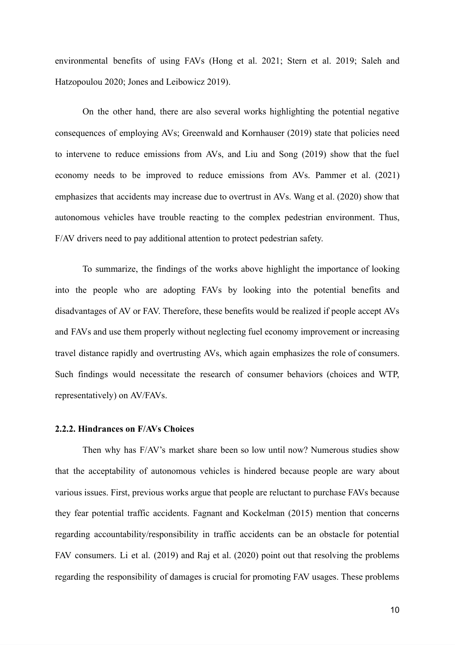environmental benefits of using FAVs [\(Hong et al. 2021; Stern et al. 2019; Saleh and](https://paperpile.com/c/4dwmEb/Gmso+K9gZ+d6BI+i6Lj)  [Hatzopoulou 2020; Jones and Leibowicz 2019\) .](https://paperpile.com/c/4dwmEb/Gmso+K9gZ+d6BI+i6Lj)

On the other hand, there are also several works highlighting the potential negative consequences of employing AVs; Greenwald and Kornhauser (2019) state that policies need to intervene to reduce emissions from AVs, and Liu and Song (2019) show that the fuel economy needs to be improved to reduce emissions from AVs. Pammer et al. (2021) emphasizes that accidents may increase due to overtrust in AVs. Wang et al. (2020) show that autonomous vehicles have trouble reacting to the complex pedestrian environment. Thus, F/AV drivers need to pay additional attention to protect pedestrian safety.

To summarize, the findings of the works above highlight the importance of looking into the people who are adopting FAVs by looking into the potential benefits and disadvantages of AV or FAV. Therefore, these benefits would be realized if people accept AVs and FAVs and use them properly without neglecting fuel economy improvement or increasing travel distance rapidly and overtrusting AVs, which again emphasizes the role of consumers. Such findings would necessitate the research of consumer behaviors (choices and WTP, representatively) on AV/FAVs.

#### **2.2.2. Hindrances on F/AVs Choices**

Then why has F/AV's market share been so low until now? Numerous studies show that the acceptability of autonomous vehicles is hindered because people are wary about various issues. First, previous works argue that people are reluctant to purchase FAVs because they fear potential traffic accidents. [Fagnant and Kockelman \(2015\)](https://paperpile.com/c/4dwmEb/Wpjn) mention that concerns regarding accountability/responsibility in traffic accidents can be an obstacle for potential FAV consumers[. Li et al. \(2019\)](https://paperpile.com/c/4dwmEb/blKq) an[d Raj et al. \(2020\)](https://paperpile.com/c/4dwmEb/VaYw) point out that resolving the problems regarding the responsibility of damages is crucial for promoting FAV usages. These problems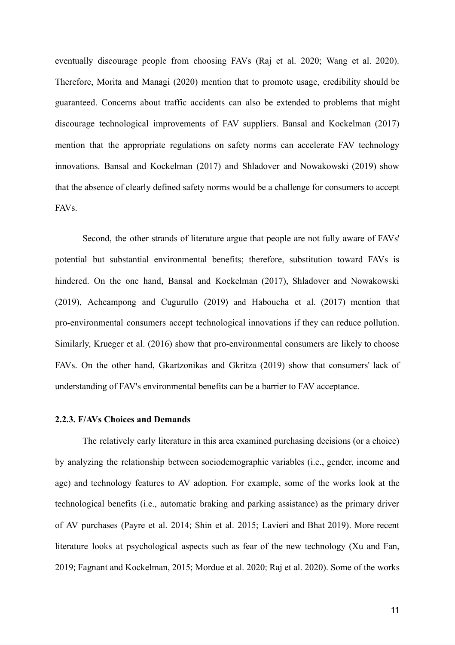eventually discourage people from choosing FAV[s \(Raj et al. 2020; Wang et al. 2020\)](https://paperpile.com/c/4dwmEb/VaYw+bSzs) . Therefore[, Morita and Managi \(2020\)](https://paperpile.com/c/4dwmEb/0RLI) mention that to promote usage, credibility should be guaranteed. Concerns about traffic accidents can also be extended to problems that might discourage technological improvements of FAV suppliers[. Bansal and Kockelman \(2017\)](https://paperpile.com/c/4dwmEb/rZ1n) mention that the appropriate regulations on safety norms can accelerate FAV technology innovations. [Bansal and Kockelman \(2017\) and Shladover and Nowakowski \(2019\)](https://paperpile.com/c/4dwmEb/rZ1n+N2o0) show that the absence of clearly defined safety norms would be a challenge for consumers to accept FAVs.

Second, the other strands of literature argue that people are not fully aware of FAVs' potential but substantial environmental benefits; therefore, substitution toward FAVs is hindered. On the one hand, [Bansal and Kockelman \(2017\), Shladover and Nowakowski](https://paperpile.com/c/4dwmEb/rZ1n+N2o0+VK8k)  [\(2019\), Acheampong and Cugurullo \(2019](https://paperpile.com/c/4dwmEb/rZ1n+N2o0+VK8k) ) and [Haboucha et al. \(2017\)](https://paperpile.com/c/4dwmEb/YF5d) mention that pro-environmental consumers accept technological innovations if they can reduce pollution. Similarly, [Krueger et al. \(2016\)](https://paperpile.com/c/4dwmEb/ZGbh) showthat pro-environmental consumers are likely to choose FAVs. On the other hand[, Gkartzonikas and Gkritza \(2019\)](https://paperpile.com/c/4dwmEb/76QC) show that consumers' lack of understanding of FAV's environmental benefits can be a barrier to FAV acceptance.

#### **2.2.3. F/AVs Choices and Demands**

The relatively early literature in this area examined purchasing decisions (or a choice) by analyzing the relationship between sociodemographic variables (i.e., gender, income and age) and technology features to AV adoption. For example, some of the works look at the technological benefits (i.e., automatic braking and parking assistance) as the primary driver of AV purchases [\(Payre et al. 2014](https://paperpile.com/c/4dwmEb/XCTM); Shin et al. 2015; Lavieri and Bhat 2019). More recent literature looks at psychological aspects such as fear of the new technology (Xu and Fan, [2019](https://paperpile.com/c/4dwmEb/DqKI) ; [Fagnant and Kockelman, 2015](https://paperpile.com/c/4dwmEb/Wpjn) ; [Mordue et al. 2020](https://paperpile.com/c/4dwmEb/V30B) ; [Raj et al. 2020\)](https://paperpile.com/c/4dwmEb/VaYw) . Some of the works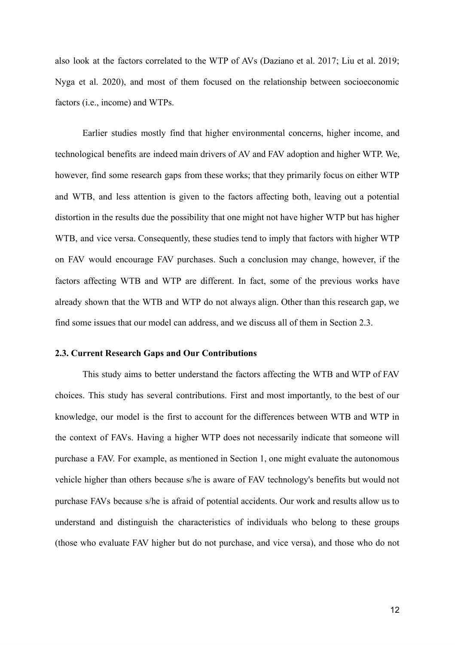also look at the factors correlated to the WTP of AV[s \(Daziano et al. 2017; Liu et al. 2019;](https://paperpile.com/c/4dwmEb/1Z6b+OoKn+qDVU)  Nyga et al. 2020), and most of them focused on the relationship between socioeconomic factors (i.e., income) and WTPs.

Earlier studies mostly find that higher environmental concerns, higher income, and technological benefits are indeed main drivers of AV and FAV adoption and higher WTP. We, however, find some research gaps from these works; that they primarily focus on either WTP and WTB, and less attention is given to the factors affecting both, leaving out a potential distortion in the results due the possibility that one might not have higher WTP but has higher WTB, and vice versa. Consequently, these studies tend to imply that factors with higher WTP on FAV would encourage FAV purchases. Such a conclusion may change, however, if the factors affecting WTB and WTP are different. In fact, some of the previous works have already shown that the WTB and WTP do not always align. Other than this research gap, we find some issues that our model can address, and we discuss all of them in Section 2.3.

#### **2.3. Current Research Gaps and Our Contributions**

This study aims to better understand the factors affecting the WTB and WTP of FAV choices. This study has several contributions. First and most importantly, to the best of our knowledge, our model is the first to account for the differences between WTB and WTP in the context of FAVs. Having a higher WTP does not necessarily indicate that someone will purchase a FAV. For example, as mentioned in Section 1, one might evaluate the autonomous vehicle higher than others because s/he is aware of FAV technology's benefits but would not purchase FAVs because s/he is afraid of potential accidents. Our work and results allow us to understand and distinguish the characteristics of individuals who belong to these groups (those who evaluate FAV higher but do not purchase, and vice versa), and those who do not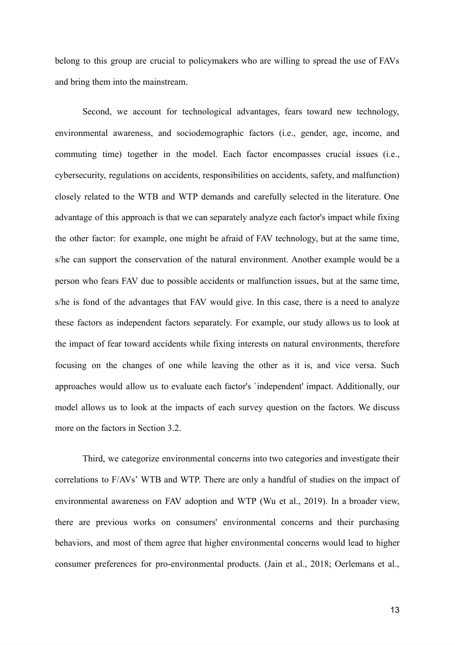belong to this group are crucial to policymakers who are willing to spread the use of FAVs and bring them into the mainstream.

Second, we account for technological advantages, fears toward new technology, environmental awareness, and sociodemographic factors (i.e., gender, age, income, and commuting time) together in the model. Each factor encompasses crucial issues (i.e., cybersecurity, regulations on accidents, responsibilities on accidents, safety, and malfunction) closely related to the WTB and WTP demands and carefully selected in the literature. One advantage of this approach is that we can separately analyze each factor's impact while fixing the other factor: for example, one might be afraid of FAV technology, but at the same time, s/he can support the conservation of the natural environment. Another example would be a person who fears FAV due to possible accidents or malfunction issues, but at the same time, s/he is fond of the advantages that FAV would give. In this case, there is a need to analyze these factors as independent factors separately. For example, our study allows us to look at the impact of fear toward accidents while fixing interests on natural environments, therefore focusing on the changes of one while leaving the other as it is, and vice versa. Such approaches would allow us to evaluate each factor's 'independent' impact. Additionally, our model allows us to look at the impacts of each survey question on the factors. We discuss more on the factors in Section 3.2.

Third, we categorize environmental concerns into two categories and investigate their correlations to F/AVs' WTB and WTP. There are only a handful of studies on the impact of environmental awareness on FAV adoption and WTP (Wu et al., 2019). In a broader view, there are previous works on consumers' environmental concerns and their purchasing behaviors, and most of them agree that higher environmental concerns would lead to higher consumer preferences for pro-environmental products. [\(Jain et al., 2018; Oerlemans et al.](https://paperpile.com/c/4dwmEb/6FS5+uLd7+AJf7)[,](https://paperpile.com/c/4dwmEb/6FS5+uLd7+AJf7)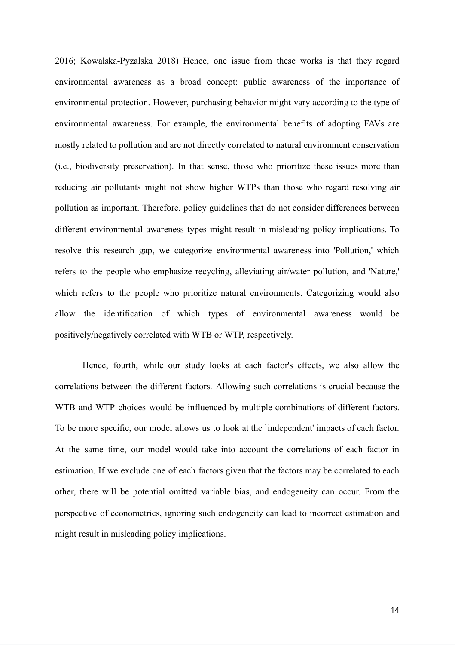[2016; Kowalska-Pyzalska 2018\)](https://paperpile.com/c/4dwmEb/6FS5+uLd7+AJf7) Hence, one issue from these works is that they regard environmental awareness as a broad concept: public awareness of the importance of environmental protection. However, purchasing behavior might vary according to the type of environmental awareness. For example, the environmental benefits of adopting FAVs are mostly related to pollution and are not directly correlated to natural environment conservation (i.e., biodiversity preservation). In that sense, those who prioritize these issues more than reducing air pollutants might not show higher WTPs than those who regard resolving air pollution as important. Therefore, policy guidelines that do not consider differences between different environmental awareness types might result in misleading policy implications. To resolve this research gap, we categorize environmental awareness into 'Pollution,' which refers to the people who emphasize recycling, alleviating air/water pollution, and 'Nature,' which refers to the people who prioritize natural environments. Categorizing would also allow the identification of which types of environmental awareness would be positively/negatively correlated with WTB or WTP, respectively.

Hence, fourth, while our study looks at each factor's effects, we also allow the correlations between the different factors. Allowing such correlations is crucial because the WTB and WTP choices would be influenced by multiple combinations of different factors. To be more specific, our model allows us to look at the `independent' impacts of each factor. At the same time, our model would take into account the correlations of each factor in estimation. If we exclude one of each factors given that the factors may be correlated to each other, there will be potential omitted variable bias, and endogeneity can occur. From the perspective of econometrics, ignoring such endogeneity can lead to incorrect estimation and might result in misleading policy implications.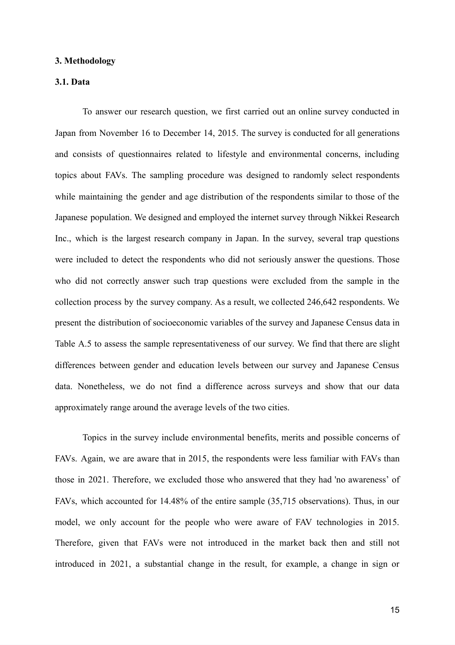#### **3. Methodology**

#### **3.1. Data**

To answer our research question, we first carried out an online survey conducted in Japan from November 16 to December 14, 2015. The survey is conducted for all generations and consists of questionnaires related to lifestyle and environmental concerns, including topics about FAVs. The sampling procedure was designed to randomly select respondents while maintaining the gender and age distribution of the respondents similar to those of the Japanese population. We designed and employed the internet survey through Nikkei Research Inc., which is the largest research company in Japan. In the survey, several trap questions were included to detect the respondents who did not seriously answer the questions. Those who did not correctly answer such trap questions were excluded from the sample in the collection process by the survey company. As a result, we collected 246,642 respondents. We present the distribution of socioeconomic variables of the survey and Japanese Census data in Table A.5 to assess the sample representativeness of our survey. We find that there are slight differences between gender and education levels between our survey and Japanese Census data. Nonetheless, we do not find a difference across surveys and show that our data approximately range around the average levels of the two cities.

Topics in the survey include environmental benefits, merits and possible concerns of FAVs. Again, we are aware that in 2015, the respondents were less familiar with FAVs than those in 2021. Therefore, we excluded those who answered that they had 'no awareness' of FAVs, which accounted for 14.48% of the entire sample (35,715 observations). Thus, in our model, we only account for the people who were aware of FAV technologies in 2015. Therefore, given that FAVs were not introduced in the market back then and still not introduced in 2021, a substantial change in the result, for example, a change in sign or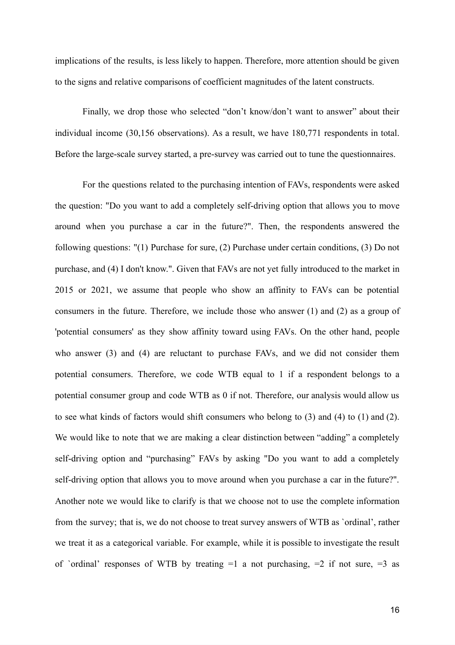implications of the results, is less likely to happen. Therefore, more attention should be given to the signs and relative comparisons of coefficient magnitudes of the latent constructs.

Finally, we drop those who selected "don't know/don't want to answer" about their individual income  $(30, 156)$  observations). As a result, we have  $180, 771$  respondents in total. Before the large-scale survey started, a pre-survey was carried out to tune the questionnaires.

For the questions related to the purchasing intention of FAVs, respondents were asked the question: "Do you want to add a completely self-driving option that allows you to move around when you purchase a car in the future?". Then, the respondents answered the following questions: "(1) Purchase for sure, (2) Purchase under certain conditions, (3) Do not purchase, and (4) I don't know.". Given that FAVs are not yet fully introduced to the market in 2015 or 2021, we assume that people who show an affinity to FAVs can be potential consumers in the future. Therefore, we include those who answer  $(1)$  and  $(2)$  as a group of 'potential consumers' as they show affinity toward using FAVs. On the other hand, people who answer (3) and (4) are reluctant to purchase FAVs, and we did not consider them potential consumers. Therefore, we code WTB equal to 1 if a respondent belongs to a potential consumer group and code WTB as 0 if not. Therefore, our analysis would allow us to see what kinds of factors would shift consumers who belong to (3) and (4) to (1) and (2). We would like to note that we are making a clear distinction between "adding" a completely self-driving option and "purchasing" FAVs by asking "Do you want to add a completely self-driving option that allows you to move around when you purchase a car in the future?". Another note we would like to clarify is that we choose not to use the complete information from the survey; that is, we do not choose to treat survey answers of WTB as 'ordinal', rather we treat it as a categorical variable. For example, while it is possible to investigate the result of `ordinal' responses of WTB by treating  $=1$  a not purchasing,  $=2$  if not sure,  $=3$  as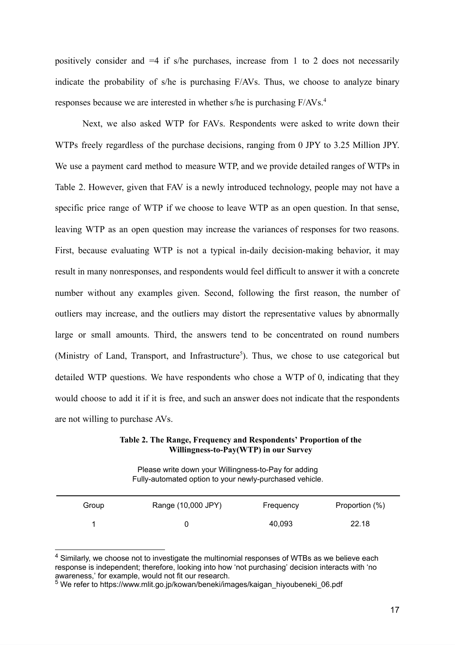positively consider and  $=4$  if s/he purchases, increase from 1 to 2 does not necessarily indicate the probability of s/he is purchasing F/AVs. Thus, we choose to analyze binary responses because we are interested in whether s/he is purchasing F/AVs. <sup>4</sup>

Next, we also asked WTP for FAVs. Respondents were asked to write down their WTPs freely regardless of the purchase decisions, ranging from 0 JPY to 3.25 Million JPY. We use a payment card method to measure WTP, and we provide detailed ranges of WTPs in Table 2. However, given that FAV is a newly introduced technology, people may not have a specific price range of WTP if we choose to leave WTP as an open question. In that sense, leaving WTP as an open question may increase the variances of responses for two reasons. First, because evaluating WTP is not a typical in-daily decision-making behavior, it may result in many nonresponses, and respondents would feel difficult to answer it with a concrete number without any examples given. Second, following the first reason, the number of outliers may increase, and the outliers may distort the representative values by abnormally large or small amounts. Third, the answers tend to be concentrated on round numbers (Ministry of Land, Transport, and Infrastructure<sup>5</sup>). Thus, we chose to use categorical but detailed WTP questions. We have respondents who chose a WTP of 0, indicating that they would choose to add it if it is free, and such an answer does not indicate that the respondents are not willing to purchase AVs.

**Table 2. The Range, Frequency and Respondents' Proportion of the Willingness-to-Pay(WTP) in our Survey** 

Please write down your Willingness-to-Pay for adding Fully-automated option to your newly-purchased vehicle.

| Group | Range (10,000 JPY) | Frequency | Proportion (%) |
|-------|--------------------|-----------|----------------|
|       |                    | 40,093    | 22.18          |

 $^4$  Similarly, we choose not to investigate the multinomial responses of WTBs as we believe each response is independent; therefore, looking into how 'not purchasing' decision interacts with 'no awareness,' for example, would not fit our research.

<sup>&</sup>lt;sup>5</sup> We refer to https://www.mlit.go.jp/kowan/beneki/images/kaigan\_hiyoubeneki\_06.pdf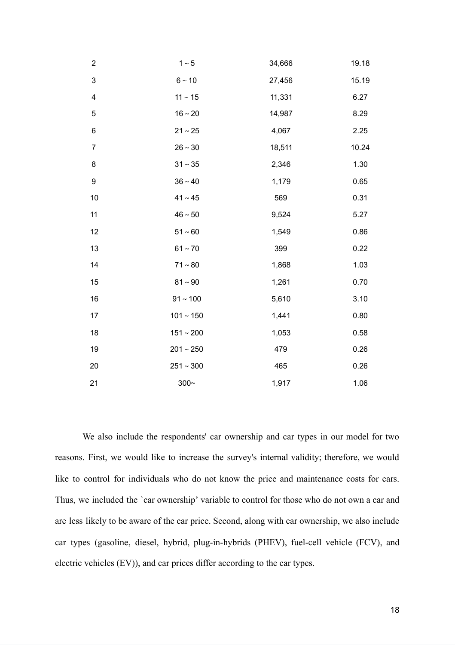| $\boldsymbol{2}$          | $1~\sim 5$     | 34,666 | 19.18 |
|---------------------------|----------------|--------|-------|
| $\ensuremath{\mathsf{3}}$ | $6 \sim 10$    | 27,456 | 15.19 |
| $\overline{\mathbf{4}}$   | $11 \sim 15$   | 11,331 | 6.27  |
| $\mathbf 5$               | $16 \sim 20$   | 14,987 | 8.29  |
| 6                         | $21 \sim 25$   | 4,067  | 2.25  |
| $\boldsymbol{7}$          | $26 \sim 30$   | 18,511 | 10.24 |
| 8                         | $31 \sim 35$   | 2,346  | 1.30  |
| 9                         | $36 \sim 40$   | 1,179  | 0.65  |
| 10                        | $41 \sim 45$   | 569    | 0.31  |
| 11                        | $46 \sim 50$   | 9,524  | 5.27  |
| 12                        | $51 - 60$      | 1,549  | 0.86  |
| 13                        | $61 - 70$      | 399    | 0.22  |
| 14                        | $71 - 80$      | 1,868  | 1.03  |
| 15                        | $81 \sim 90$   | 1,261  | 0.70  |
| 16                        | $91 - 100$     | 5,610  | 3.10  |
| 17                        | $101 \sim 150$ | 1,441  | 0.80  |
| 18                        | $151 \sim 200$ | 1,053  | 0.58  |
| 19                        | $201 \sim 250$ | 479    | 0.26  |
| 20                        | $251 \sim 300$ | 465    | 0.26  |
| 21                        | $300 -$        | 1,917  | 1.06  |

We also include the respondents' car ownership and car types in our model for two reasons. First, we would like to increase the survey's internal validity; therefore, we would like to control for individuals who do not know the price and maintenance costs for cars. Thus, we included the `car ownership' variable to control for those who do not own a car and are less likely to be aware of the car price. Second, along with car ownership, we also include car types (gasoline, diesel, hybrid, plug-in-hybrids (PHEV), fuel-cell vehicle (FCV), and electric vehicles (EV)), and car prices differ according to the car types.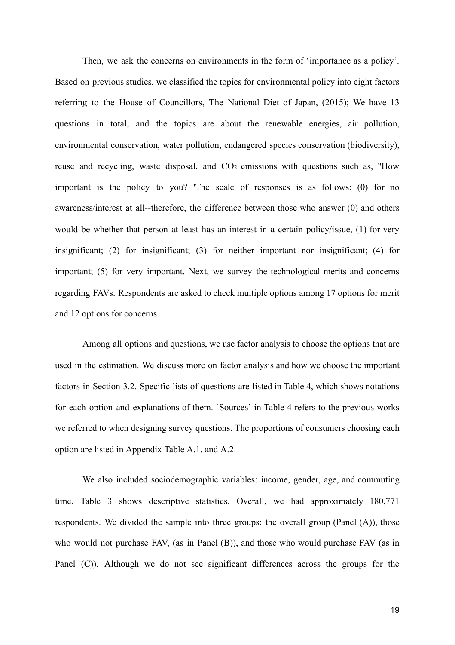Then, we ask the concerns on environments in the form of 'importance as a policy'. Based on previous studies, we classified the topics for environmental policy into eight factors referring to the House of Councillors, The National Diet of Japan, (2015); We have 13 questions in total, and the topics are about the renewable energies, air pollution, environmental conservation, water pollution, endangered species conservation (biodiversity), reuse and recycling, waste disposal, and CO<sub>2</sub> emissions with questions such as, "How important is the policy to you? 'The scale of responses is as follows: (0) for no awareness/interest at all--therefore, the difference between those who answer (0) and others would be whether that person at least has an interest in a certain policy/issue, (1) for very insignificant; (2) for insignificant; (3) for neither important nor insignificant; (4) for important; (5) for very important. Next, we survey the technological merits and concerns regarding FAVs. Respondents are asked to check multiple options among 17 options for merit and 12 options for concerns.

Among all options and questions, we use factor analysis to choose the options that are used in the estimation. We discuss more on factor analysis and how we choose the important factors in Section 3.2. Specific lists of questions are listed in Table 4, which shows notations for each option and explanations of them. `Sources' in Table 4 refers to the previous works we referred to when designing survey questions. The proportions of consumers choosing each option are listed in Appendix Table A.1. and A.2.

We also included sociodemographic variables: income, gender, age, and commuting time. Table 3 shows descriptive statistics. Overall, we had approximately 180,771 respondents. We divided the sample into three groups: the overall group (Panel  $(A)$ ), those who would not purchase FAV, (as in Panel (B)), and those who would purchase FAV (as in Panel (C)). Although we do not see significant differences across the groups for the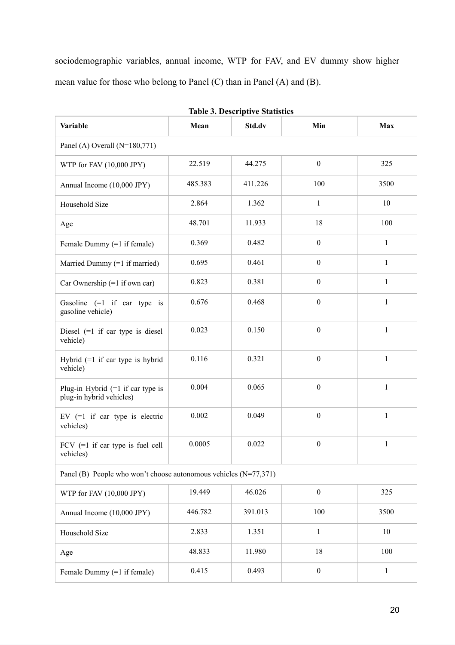sociodemographic variables, annual income, WTP for FAV, and EV dummy show higher mean value for those who belong to Panel (C) than in Panel (A) and (B).

| <b>Variable</b>                                                    | Mean    | Std.dv  | Min              | Max          |  |  |
|--------------------------------------------------------------------|---------|---------|------------------|--------------|--|--|
| Panel (A) Overall $(N=180,771)$                                    |         |         |                  |              |  |  |
| WTP for FAV (10,000 JPY)                                           | 22.519  | 44.275  | $\boldsymbol{0}$ | 325          |  |  |
| Annual Income (10,000 JPY)                                         | 485.383 | 411.226 | 100              | 3500         |  |  |
| Household Size                                                     | 2.864   | 1.362   | $\mathbf{1}$     | 10           |  |  |
| Age                                                                | 48.701  | 11.933  | 18               | 100          |  |  |
| Female Dummy (=1 if female)                                        | 0.369   | 0.482   | $\boldsymbol{0}$ | $\mathbf{1}$ |  |  |
| Married Dummy (=1 if married)                                      | 0.695   | 0.461   | $\boldsymbol{0}$ | $\,1$        |  |  |
| Car Ownership $(=1$ if own car)                                    | 0.823   | 0.381   | $\boldsymbol{0}$ | $\mathbf{1}$ |  |  |
| Gasoline $(=1 \text{ if car type is})$<br>gasoline vehicle)        | 0.676   | 0.468   | $\boldsymbol{0}$ | $\mathbf{1}$ |  |  |
| Diesel $(=1$ if car type is diesel<br>vehicle)                     | 0.023   | 0.150   | $\mathbf{0}$     | $\mathbf{1}$ |  |  |
| Hybrid $(=1$ if car type is hybrid<br>vehicle)                     | 0.116   | 0.321   | $\mathbf{0}$     | $\mathbf{1}$ |  |  |
| Plug-in Hybrid $(=1$ if car type is<br>plug-in hybrid vehicles)    | 0.004   | 0.065   | $\boldsymbol{0}$ | $\mathbf{1}$ |  |  |
| EV $(=1$ if car type is electric<br>vehicles)                      | 0.002   | 0.049   | $\boldsymbol{0}$ | $\mathbf{1}$ |  |  |
| FCV $(=1$ if car type is fuel cell<br>vehicles)                    | 0.0005  | 0.022   | $\boldsymbol{0}$ | $\mathbf{1}$ |  |  |
| Panel (B) People who won't choose autonomous vehicles $(N=77,371)$ |         |         |                  |              |  |  |
| WTP for FAV (10,000 JPY)                                           | 19.449  | 46.026  | $\boldsymbol{0}$ | 325          |  |  |
| Annual Income (10,000 JPY)                                         | 446.782 | 391.013 | 100              | 3500         |  |  |
| Household Size                                                     | 2.833   | 1.351   | $\mathbf{1}$     | 10           |  |  |
| Age                                                                | 48.833  | 11.980  | 18               | 100          |  |  |
| Female Dummy (=1 if female)                                        | 0.415   | 0.493   | $\boldsymbol{0}$ | $\mathbf{1}$ |  |  |

**Table 3. Descriptive Statistics**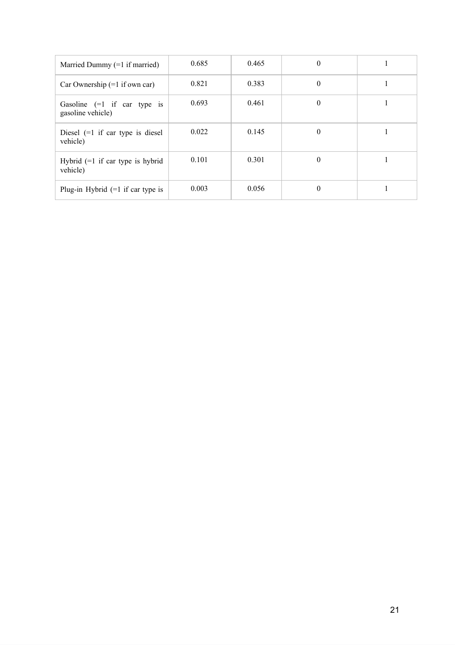| Married Dummy $(=1$ if married)                             | 0.685 | 0.465 | $\theta$ |  |
|-------------------------------------------------------------|-------|-------|----------|--|
| Car Ownership $(=1$ if own car)                             | 0.821 | 0.383 | $\theta$ |  |
| Gasoline $(=1 \text{ if car type is})$<br>gasoline vehicle) | 0.693 | 0.461 | $\theta$ |  |
| Diesel $(=1$ if car type is diesel<br>vehicle)              | 0.022 | 0.145 | $\theta$ |  |
| Hybrid $(=1$ if car type is hybrid<br>vehicle)              | 0.101 | 0.301 | $\Omega$ |  |
| Plug-in Hybrid $(=1$ if car type is                         | 0.003 | 0.056 | $\theta$ |  |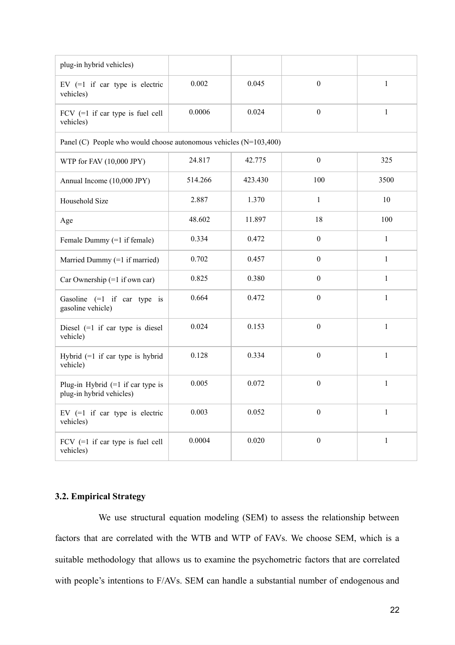| plug-in hybrid vehicles)                                          |         |         |                  |              |
|-------------------------------------------------------------------|---------|---------|------------------|--------------|
| EV $(=1$ if car type is electric<br>vehicles)                     | 0.002   | 0.045   | $\boldsymbol{0}$ | $\mathbf{1}$ |
| FCV $(=1$ if car type is fuel cell<br>vehicles)                   | 0.0006  | 0.024   | $\boldsymbol{0}$ | $\mathbf{1}$ |
| Panel (C) People who would choose autonomous vehicles (N=103,400) |         |         |                  |              |
| WTP for FAV (10,000 JPY)                                          | 24.817  | 42.775  | $\boldsymbol{0}$ | 325          |
| Annual Income (10,000 JPY)                                        | 514.266 | 423.430 | 100              | 3500         |
| Household Size                                                    | 2.887   | 1.370   | $\mathbf{1}$     | 10           |
| Age                                                               | 48.602  | 11.897  | 18               | 100          |
| Female Dummy (=1 if female)                                       | 0.334   | 0.472   | $\boldsymbol{0}$ | $\mathbf{1}$ |
| Married Dummy (=1 if married)                                     | 0.702   | 0.457   | $\boldsymbol{0}$ | $\mathbf{1}$ |
| Car Ownership $(=1$ if own car)                                   | 0.825   | 0.380   | $\boldsymbol{0}$ | $\mathbf{1}$ |
| Gasoline $(=1$ if car type is<br>gasoline vehicle)                | 0.664   | 0.472   | $\boldsymbol{0}$ | $\mathbf{1}$ |
| Diesel $(=1$ if car type is diesel<br>vehicle)                    | 0.024   | 0.153   | $\boldsymbol{0}$ | $\mathbf{1}$ |
| Hybrid $(=1$ if car type is hybrid<br>vehicle)                    | 0.128   | 0.334   | $\boldsymbol{0}$ | $\mathbf{1}$ |
| Plug-in Hybrid $(=1$ if car type is<br>plug-in hybrid vehicles)   | 0.005   | 0.072   | $\boldsymbol{0}$ | $\mathbf{1}$ |
| EV $(=1$ if car type is electric<br>vehicles)                     | 0.003   | 0.052   | $\boldsymbol{0}$ | $\mathbf{1}$ |
| FCV $(=1$ if car type is fuel cell<br>vehicles)                   | 0.0004  | 0.020   | $\boldsymbol{0}$ | $\mathbf{1}$ |

# **3.2. Empirical Strategy**

 We use structural equation modeling (SEM) to assess the relationship between factors that are correlated with the WTB and WTP of FAVs. We choose SEM, which is a suitable methodology that allows us to examine the psychometric factors that are correlated with people's intentions to F/AVs. SEM can handle a substantial number of endogenous and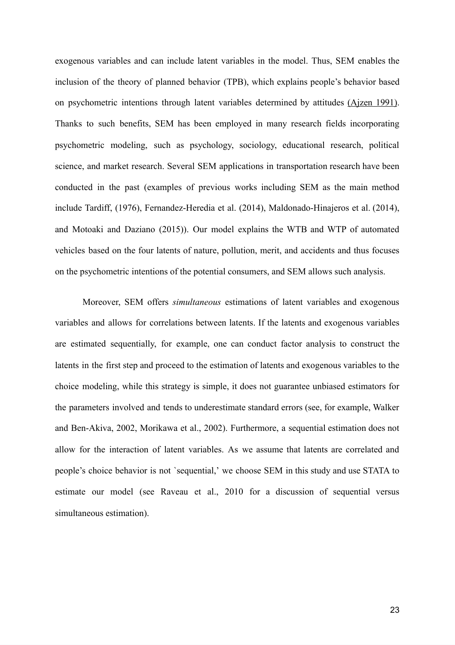exogenous variables and can include latent variables in the model. Thus, SEM enables the inclusion of the theory of planned behavior (TPB), which explains people's behavior based on psychometric intentions through latent variables determined by attitudes (Aizen 1991). Thanks to such benefits, SEM has been employed in many research fields incorporating psychometric modeling, such as psychology, sociology, educational research, political science, and market research. Several SEM applications in transportation research have been conducted in the past (examples of previous works including SEM as the main method include Tardiff, (1976), Fernandez-Heredia et al. (2014), Maldonado-Hinajeros et al. (2014 ), and Motoaki and Daziano (2015)). Our model explains the WTB and WTP of automated vehicles based on the four latents of nature, pollution, merit, and accidents and thus focuses on the psychometric intentions of the potential consumers, and SEM allows such analysis.

Moreover, SEM offers *simultaneous* estimations of latent variables and exogenous variables and allows for correlations between latents. If the latents and exogenous variables are estimated sequentially, for example, one can conduct factor analysis to construct the latents in the first step and proceed to the estimation of latents and exogenous variables to the choice modeling, while this strategy is simple, it does not guarantee unbiased estimators for the parameters involved and tends to underestimate standard errors (see, for example, Walker and Ben-Akiva, 2002, Morikawa et al., 2002). Furthermore, a sequential estimation does not allow for the interaction of latent variables. As we assume that latents are correlated and people's choice behavior is not 'sequential,' we choose SEM in this study and use STATA to estimate our model (see Raveau et al., 2010 for a discussion of sequential versus simultaneous estimation).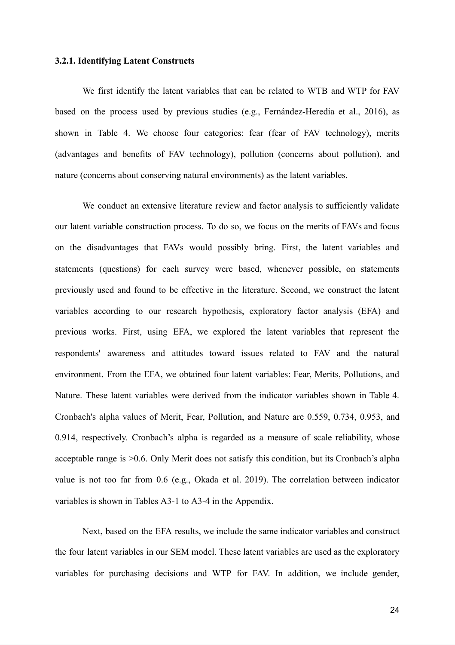#### **3.2.1. Identifying Latent Constructs**

We first identify the latent variables that can be related to WTB and WTP for FAV based on the process used by previous studies (e.g., Fernández-Heredia et al., 2016), as shown in Table 4. We choose four categories: fear (fear of FAV technology), merits (advantages and benefits of FAV technology), pollution (concerns about pollution), and nature (concerns about conserving natural environments) as the latent variables.

We conduct an extensive literature review and factor analysis to sufficiently validate our latent variable construction process. To do so, we focus on the merits of FAVs and focus on the disadvantages that FAVs would possibly bring. First, the latent variables and statements (questions) for each survey were based, whenever possible, on statements previously used and found to be effective in the literature. Second, we construct the latent variables according to our research hypothesis, exploratory factor analysis (EFA) and previous works. First, using EFA, we explored the latent variables that represent the respondents' awareness and attitudes toward issues related to FAV and the natural environment. From the EFA, we obtained four latent variables: Fear, Merits, Pollutions, and Nature. These latent variables were derived from the indicator variables shown in Table 4. Cronbach's alpha values of Merit, Fear, Pollution, and Nature are 0.559, 0.734, 0.953, and 0.914, respectively. Cronbach's alpha is regarded as a measure of scale reliability, whose acceptable range is  $>0.6$ . Only Merit does not satisfy this condition, but its Cronbach's alpha value is not too far from 0.6 (e.g.[, Okada et al. 2019\)](https://paperpile.com/c/4dwmEb/YIKC). The correlation between indicator variables is shown in Tables A3-1 to A3-4 in the Appendix.

Next, based on the EFA results, we include the same indicator variables and construct the four latent variables in our SEM model. These latent variables are used as the exploratory variables for purchasing decisions and WTP for FAV. In addition, we include gender,

24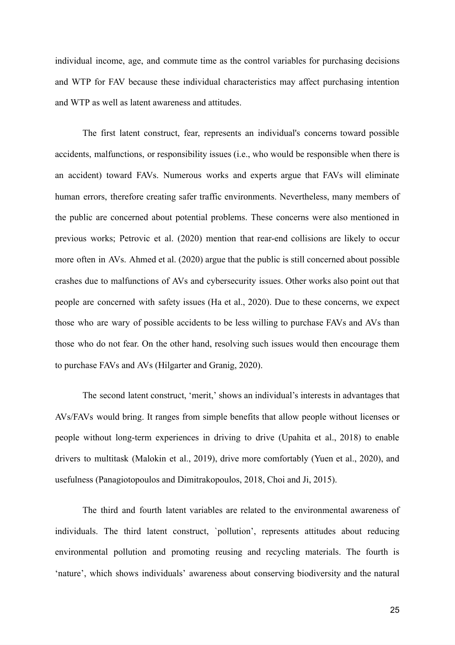individual income, age, and commute time as the control variables for purchasing decisions and WTP for FAV because these individual characteristics may affect purchasing intention and WTP as well as latent awareness and attitudes.

The first latent construct, fear, represents an individual's concerns toward possible accidents, malfunctions, or responsibility issues (i.e., who would be responsible when there is an accident) toward FAVs. Numerous works and experts argue that FAVs will eliminate human errors, therefore creating safer traffic environments. Nevertheless, many members of the public are concerned about potential problems. These concerns were also mentioned in previous works; Petrovic et al. (2020) mention that rear-end collisions are likely to occur more often in AVs. Ahmed et al. (2020) argue that the public is still concerned about possible crashes due to malfunctions of AVs and cybersecurity issues. Other works also point out that people are concerned with safety issues (Ha et al., 2020). Due to these concerns, we expect those who are wary of possible accidents to be less willing to purchase FAVs and AVs than those who do not fear. On the other hand, resolving such issues would then encourage them to purchase FAVs and AVs (Hilgarter and Granig, 2020).

The second latent construct, 'merit,' shows an individual's interests in advantages that AVs/FAVs would bring. It ranges from simple benefits that allow people without licenses or people without long-term experiences in driving to drive (Upahita et al., 2018) to enable drivers to multitask (Malokin et al., 2019), drive more comfortably (Yuen et al., 2020), and usefulness (Panagiotopoulos and Dimitrakopoulos, 2018, Choi and Ji, 2015).

The third and fourth latent variables are related to the environmental awareness of individuals. The third latent construct, `pollution', represents attitudes about reducing environmental pollution and promoting reusing and recycling materials. The fourth is 'nature', which shows individuals' awareness about conserving biodiversity and the natural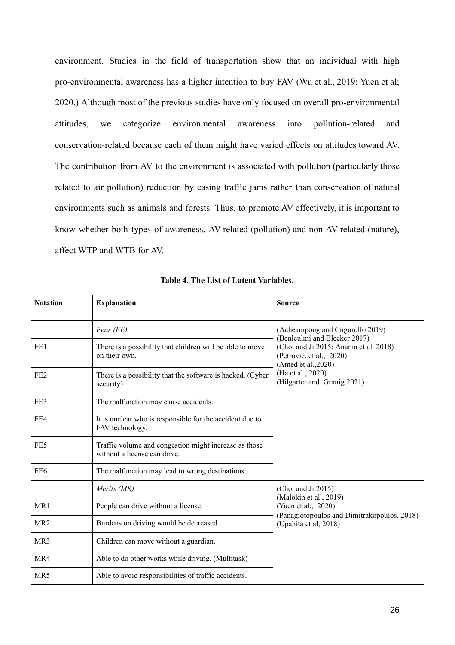environment. Studies in the field of transportation show that an individual with high pro-environmental awareness has a higher intention to buy FAV (Wu et al., 2019; Yuen et al; 2020.) Although most of the previous studies have only focused on overall pro-environmental attitudes, we categorize environmental awareness into pollution-related and conservation-related because each of them might have varied effects on attitudes toward AV. The contribution from AV to the environment is associated with pollution (particularly those related to air pollution) reduction by easing traffic jams rather than conservation of natural environments such as animals and forests. Thus, to promote AV effectively, it is important to know whether both types of awareness, AV-related (pollution) and non-AV-related (nature), affect WTP and WTB for AV.

| <b>Notation</b> | <b>Explanation</b>                                                                    | <b>Source</b>                                                                             |
|-----------------|---------------------------------------------------------------------------------------|-------------------------------------------------------------------------------------------|
|                 | Fear (FE)                                                                             | (Acheampong and Cugurullo 2019)<br>(Benleulmi and Blecker 2017)                           |
| FE1             | There is a possibility that children will be able to move<br>on their own.            | (Choi and Ji 2015; Anania et al. 2018)<br>(Petrović, et al., 2020)<br>(Amed et al., 2020) |
| FE <sub>2</sub> | There is a possibility that the software is hacked. (Cyber<br>security)               | (Ha et al., 2020)<br>(Hilgarter and Granig 2021)                                          |
| FE3             | The malfunction may cause accidents.                                                  |                                                                                           |
| FE4             | It is unclear who is responsible for the accident due to<br>FAV technology.           |                                                                                           |
| FE5             | Traffic volume and congestion might increase as those<br>without a license can drive. |                                                                                           |
| FE <sub>6</sub> | The malfunction may lead to wrong destinations.                                       |                                                                                           |
|                 | Merits (MR)                                                                           | (Choi and Ji 2015)<br>(Malokin et al., 2019)                                              |
| MR1             | People can drive without a license.                                                   | (Yuen et al., 2020)                                                                       |
| MR <sub>2</sub> | Burdens on driving would be decreased.                                                | (Panagiotopoulos and Dimitrakopoulos, 2018)<br>(Upahita et al, 2018)                      |
| MR3             | Children can move without a guardian.                                                 |                                                                                           |
| MR4             | Able to do other works while driving. (Multitask)                                     |                                                                                           |
| MR <sub>5</sub> | Able to avoid responsibilities of traffic accidents.                                  |                                                                                           |

**Table 4. The List of Latent Variables.**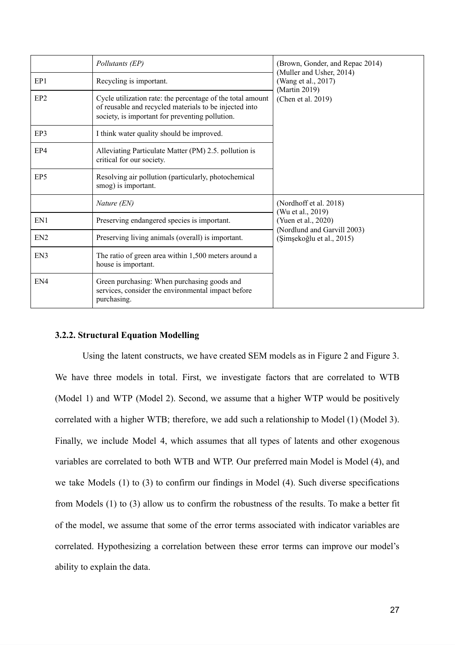|                 | Pollutants (EP)                                                                                                                                                         | (Brown, Gonder, and Repac 2014)<br>(Muller and Usher, 2014) |
|-----------------|-------------------------------------------------------------------------------------------------------------------------------------------------------------------------|-------------------------------------------------------------|
| EP1             | Recycling is important.                                                                                                                                                 | (Wang et al., 2017)<br>(Martin 2019)                        |
| EP <sub>2</sub> | Cycle utilization rate: the percentage of the total amount<br>of reusable and recycled materials to be injected into<br>society, is important for preventing pollution. | (Chen et al. 2019)                                          |
| EP3             | I think water quality should be improved.                                                                                                                               |                                                             |
| EP4             | Alleviating Particulate Matter (PM) 2.5. pollution is<br>critical for our society.                                                                                      |                                                             |
| EP <sub>5</sub> | Resolving air pollution (particularly, photochemical<br>smog) is important.                                                                                             |                                                             |
|                 | Nature (EN)                                                                                                                                                             | (Nordhoff et al. 2018)<br>(Wu et al., 2019)                 |
| EN1             | Preserving endangered species is important.                                                                                                                             | (Yuen et al., 2020)<br>(Nordlund and Garvill 2003)          |
| EN <sub>2</sub> | Preserving living animals (overall) is important.                                                                                                                       | (Şimşekoğlu et al., 2015)                                   |
| EN3             | The ratio of green area within 1,500 meters around a<br>house is important.                                                                                             |                                                             |
| EN <sub>4</sub> | Green purchasing: When purchasing goods and<br>services, consider the environmental impact before<br>purchasing.                                                        |                                                             |

#### **3.2.2. Structural Equation Modelling**

Using the latent constructs, we have created SEM models as in Figure 2 and Figure 3. We have three models in total. First, we investigate factors that are correlated to WTB (Model 1) and WTP (Model 2). Second, we assume that a higher WTP would be positively correlated with a higher WTB; therefore, we add such a relationship to Model (1) (Model 3). Finally, we include Model 4, which assumes that all types of latents and other exogenous variables are correlated to both WTB and WTP. Our preferred main Model is Model (4), and we take Models  $(1)$  to  $(3)$  to confirm our findings in Model  $(4)$ . Such diverse specifications from Models (1) to (3) allow us to confirm the robustness of the results. To make a better fit of the model, we assume that some of the error terms associated with indicator variables are correlated. Hypothesizing a correlation between these error terms can improve our model's ability to explain the data.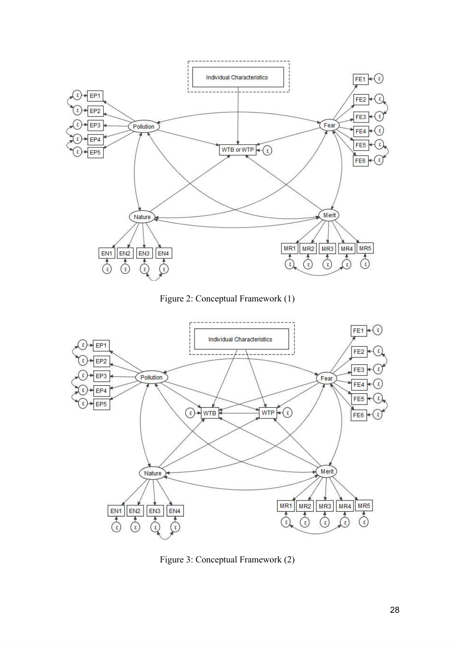

Figure 2: Conceptual Framework (1)



Figure 3: Conceptual Framework (2)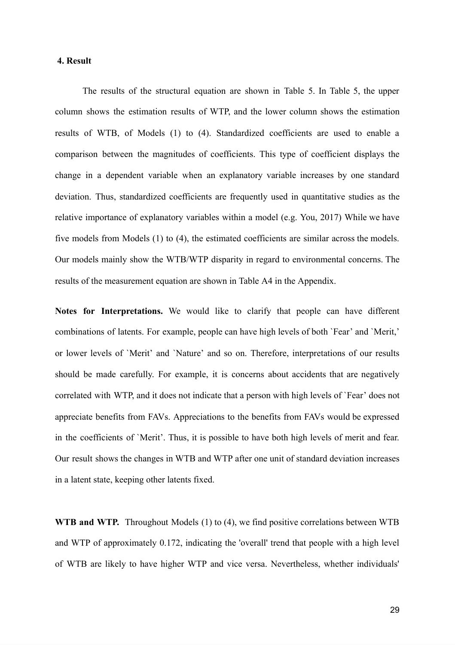#### **4. Result**

The results of the structural equation are shown in Table 5. In Table 5, the upper column shows the estimation results of WTP, and the lower column shows the estimation results of WTB, of Models (1) to (4). Standardized coefficients are used to enable a comparison between the magnitudes of coefficients. This type of coefficient displays the change in a dependent variable when an explanatory variable increases by one standard deviation. Thus, standardized coefficients are frequently used in quantitative studies as the relative importance of explanatory variables within a model (e.g. You, 2017) While we have five models from Models (1) to (4), the estimated coefficients are similar across the models. Our models mainly show the WTB/WTP disparity in regard to environmental concerns. The results of the measurement equation are shown in Table A4 in the Appendix.

**Notes for Interpretations.** We would like to clarify that people can have different combinations of latents. For example, people can have high levels of both `Fear' and ` Merit,' or lower levels of `Merit' and `Nature' and so on. Therefore, interpretations of our results should be made carefully. For example, it is concerns about accidents that are negatively correlated with WTP, and it does not indicate that a person with high levels of `Fear ' does not appreciate benefits from FAVs. Appreciations to the benefits from FAVs would be expressed in the coefficients of `Merit'. Thus, it is possible to have both high levels of merit and fear. Our result shows the changes in WTB and WTP after one unit of standard deviation increases in a latent state, keeping other latents fixed.

**WTB and WTP.** Throughout Models (1) to (4), we find positive correlations between WTB and WTP of approximately 0.172, indicating the 'overall' trend that people with a high level of WTB are likely to have higher WTP and vice versa. Nevertheless, whether individuals'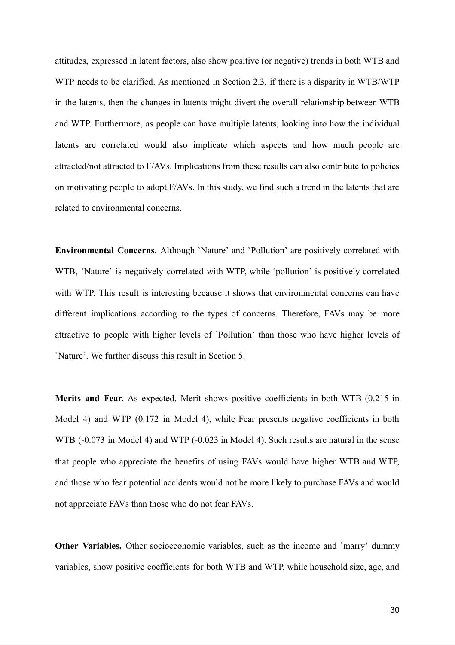attitudes, expressed in latent factors, also show positive (or negative) trends in both WTB and WTP needs to be clarified. As mentioned in Section 2.3, if there is a disparity in WTB/WTP in the latents, then the changes in latents might divert the overall relationship between WTB and WTP. Furthermore, as people can have multiple latents, looking into how the individual latents are correlated would also implicate which aspects and how much people are attracted/not attracted to F/AVs. Implications from these results can also contribute to policies on motivating people to adopt  $F/AVs$ . In this study, we find such a trend in the latents that are related to environmental concerns.

**Environmental Concerns.** Although `Nature' and `Pollution' are positively correlated with WTB, 'Nature' is negatively correlated with WTP, while 'pollution' is positively correlated with WTP. This result is interesting because it shows that environmental concerns can have different implications according to the types of concerns. Therefore, FAVs may be more attractive to people with higher levels of 'Pollution' than those who have higher levels of `Nature'. We further discuss this result in Section 5.

**Merits and Fear.** As expected, Merit shows positive coefficients in both WTB (0.215 in Model 4) and WTP (0.172 in Model 4), while Fear presents negative coefficients in both WTB (-0.073 in Model 4) and WTP (-0.023 in Model 4). Such results are natural in the sense that people who appreciate the benefits of using FAVs would have higher WTB and WTP, and those who fear potential accidents would not be more likely to purchase FAVs and would not appreciate FAVs than those who do not fear FAVs.

**Other Variables.** Other socioeconomic variables, such as the income and `marry' dummy variables, show positive coefficients for both WTB and WTP, while household size, age, and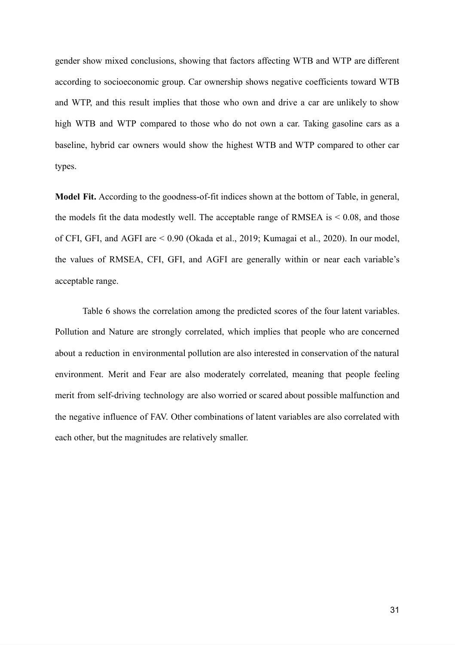gender show mixed conclusions, showing that factors affecting WTB and WTP are different according to socioeconomic group. Car ownership shows negative coefficients toward WTB and WTP, and this result implies that those who own and drive a car are unlikely to show high WTB and WTP compared to those who do not own a car. Taking gasoline cars as a baseline, hybrid car owners would show the highest WTB and WTP compared to other car types.

**Model Fit.** According to the goodness-of-fit indices shown at the bottom of Table, in general, the models fit the data modestly well. The acceptable range of RMSEA is  $< 0.08$ , and those of CFI, GFI, and AGFI are < 0.90 (Okada et al., 2019; Kumagai et al., 2020). In our model, the values of RMSEA, CFI, GFI, and AGFI are generally within or near each variable's acceptable range.

Table 6 shows the correlation among the predicted scores of the four latent variables. Pollution and Nature are strongly correlated, which implies that people who are concerned about a reduction in environmental pollution are also interested in conservation of the natural environment. Merit and Fear are also moderately correlated, meaning that people feeling merit from self-driving technology are also worried or scared about possible malfunction and the negative influence of FAV. Other combinations of latent variables are also correlated with each other, but the magnitudes are relatively smaller.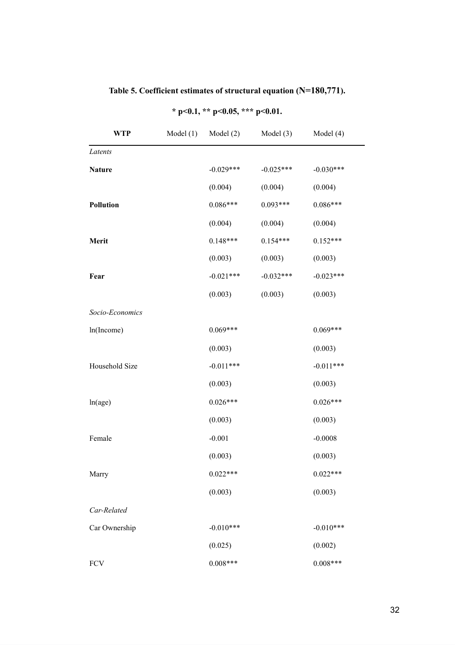| <b>WTP</b>       | Model(1) | Model $(2)$ | Model $(3)$ | Model (4)   |
|------------------|----------|-------------|-------------|-------------|
| Latents          |          |             |             |             |
| <b>Nature</b>    |          | $-0.029***$ | $-0.025***$ | $-0.030***$ |
|                  |          | (0.004)     | (0.004)     | (0.004)     |
| <b>Pollution</b> |          | $0.086***$  | $0.093***$  | $0.086***$  |
|                  |          | (0.004)     | (0.004)     | (0.004)     |
| Merit            |          | $0.148***$  | $0.154***$  | $0.152***$  |
|                  |          | (0.003)     | (0.003)     | (0.003)     |
| Fear             |          | $-0.021***$ | $-0.032***$ | $-0.023***$ |
|                  |          | (0.003)     | (0.003)     | (0.003)     |
| Socio-Economics  |          |             |             |             |
| ln(Income)       |          | $0.069***$  |             | $0.069***$  |
|                  |          | (0.003)     |             | (0.003)     |
| Household Size   |          | $-0.011***$ |             | $-0.011***$ |
|                  |          | (0.003)     |             | (0.003)     |
| ln(age)          |          | $0.026***$  |             | $0.026***$  |
|                  |          | (0.003)     |             | (0.003)     |
| Female           |          | $-0.001$    |             | $-0.0008$   |
|                  |          | (0.003)     |             | (0.003)     |
| Marry            |          | $0.022***$  |             | $0.022***$  |
|                  |          | (0.003)     |             | (0.003)     |
| Car-Related      |          |             |             |             |
| Car Ownership    |          | $-0.010***$ |             | $-0.010***$ |
|                  |          | (0.025)     |             | (0.002)     |
| FCV              |          | $0.008***$  |             | $0.008***$  |

# Table 5. Coefficient estimates of structural equation (N=180,771).

**\* p<0.1, \*\* p<0.05, \*\*\* p<0.01.**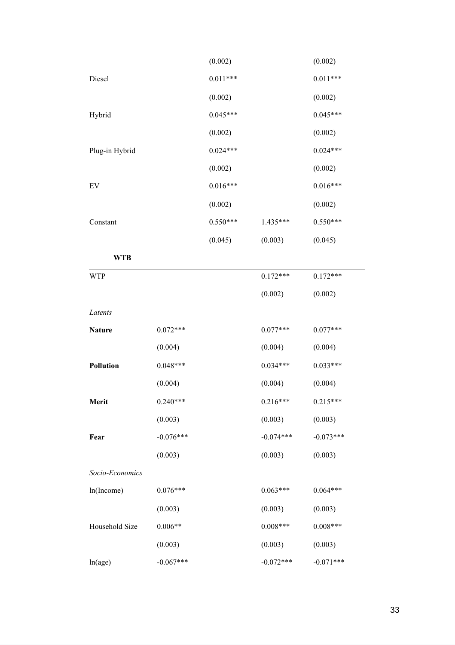|                  |             | (0.002)    |             | (0.002)     |
|------------------|-------------|------------|-------------|-------------|
| Diesel           |             | $0.011***$ |             | $0.011***$  |
|                  |             | (0.002)    |             | (0.002)     |
| Hybrid           |             | $0.045***$ |             | $0.045***$  |
|                  |             | (0.002)    |             | (0.002)     |
| Plug-in Hybrid   |             | $0.024***$ |             | $0.024***$  |
|                  |             | (0.002)    |             | (0.002)     |
| EV               |             | $0.016***$ |             | $0.016***$  |
|                  |             | (0.002)    |             | (0.002)     |
| Constant         |             | $0.550***$ | $1.435***$  | $0.550***$  |
|                  |             | (0.045)    | (0.003)     | (0.045)     |
| <b>WTB</b>       |             |            |             |             |
| <b>WTP</b>       |             |            | $0.172***$  | $0.172***$  |
|                  |             |            | (0.002)     | (0.002)     |
| Latents          |             |            |             |             |
| <b>Nature</b>    | $0.072***$  |            | $0.077***$  | $0.077***$  |
|                  | (0.004)     |            | (0.004)     | (0.004)     |
| <b>Pollution</b> | $0.048***$  |            | $0.034***$  | $0.033***$  |
|                  | (0.004)     |            | (0.004)     | (0.004)     |
| Merit            | $0.240***$  |            | $0.216***$  | $0.215***$  |
|                  | (0.003)     |            | (0.003)     | (0.003)     |
| Fear             | $-0.076***$ |            | $-0.074***$ | $-0.073***$ |
|                  | (0.003)     |            | (0.003)     | (0.003)     |
| Socio-Economics  |             |            |             |             |
| ln(Income)       | $0.076***$  |            | $0.063***$  | $0.064***$  |
|                  | (0.003)     |            | (0.003)     | (0.003)     |
| Household Size   | $0.006**$   |            | $0.008***$  | $0.008***$  |
|                  | (0.003)     |            | (0.003)     | (0.003)     |
| ln(age)          | $-0.067***$ |            | $-0.072***$ | $-0.071***$ |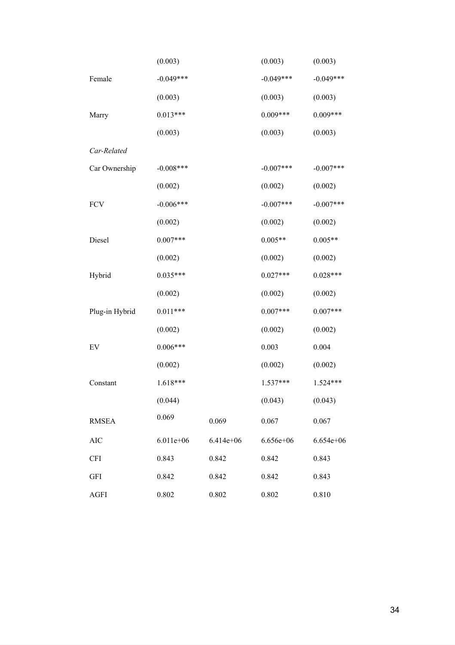|                | (0.003)     |             | (0.003)       | (0.003)     |
|----------------|-------------|-------------|---------------|-------------|
| Female         | $-0.049***$ |             | $-0.049***$   | $-0.049***$ |
|                | (0.003)     |             | (0.003)       | (0.003)     |
| Marry          | $0.013***$  |             | $0.009***$    | $0.009***$  |
|                | (0.003)     |             | (0.003)       | (0.003)     |
| Car-Related    |             |             |               |             |
| Car Ownership  | $-0.008***$ |             | $-0.007***$   | $-0.007***$ |
|                | (0.002)     |             | (0.002)       | (0.002)     |
| <b>FCV</b>     | $-0.006***$ |             | $-0.007***$   | $-0.007***$ |
|                | (0.002)     |             | (0.002)       | (0.002)     |
| Diesel         | $0.007***$  |             | $0.005**$     | $0.005**$   |
|                | (0.002)     |             | (0.002)       | (0.002)     |
| Hybrid         | $0.035***$  |             | $0.027***$    | $0.028***$  |
|                | (0.002)     |             | (0.002)       | (0.002)     |
| Plug-in Hybrid | $0.011***$  |             | $0.007***$    | $0.007***$  |
|                | (0.002)     |             | (0.002)       | (0.002)     |
| EV             | $0.006***$  |             | 0.003         | 0.004       |
|                | (0.002)     |             | (0.002)       | (0.002)     |
| Constant       | $1.618***$  |             | $1.537***$    | $1.524***$  |
|                | (0.044)     |             | (0.043)       | (0.043)     |
| <b>RMSEA</b>   | 0.069       | 0.069       | 0.067         | 0.067       |
| <b>AIC</b>     | $6.011e+06$ | $6.414e+06$ | $6.656e + 06$ | $6.654e+06$ |
| <b>CFI</b>     | 0.843       | 0.842       | 0.842         | 0.843       |
| <b>GFI</b>     | 0.842       | 0.842       | 0.842         | 0.843       |
| <b>AGFI</b>    | 0.802       | 0.802       | 0.802         | 0.810       |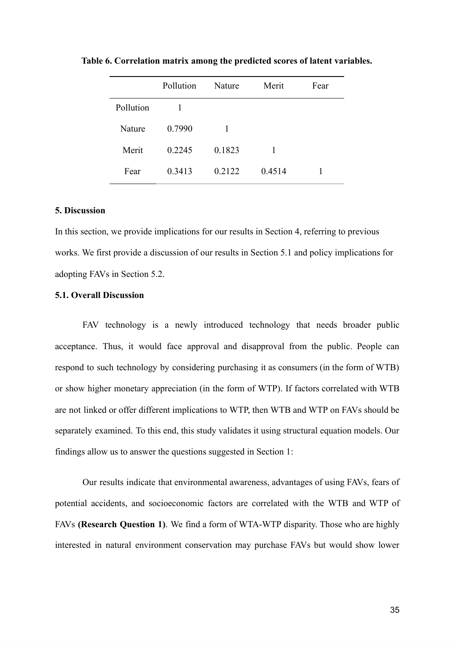|           | Pollution | Nature | Merit  | Fear |
|-----------|-----------|--------|--------|------|
| Pollution | 1         |        |        |      |
| Nature    | 0.7990    | 1      |        |      |
| Merit     | 0.2245    | 0.1823 | 1      |      |
| Fear      | 0.3413    | 0.2122 | 0.4514 |      |

**Table 6. Correlation matrix among the predicted scores of latent variables.** 

#### **5. Discussion**

In this section, we provide implications for our results in Section 4, referring to previous works. We first provide a discussion of our results in Section 5.1 and policy implications for adopting FAVs in Section 5.2.

#### **5.1. Overall Discussion**

FAV technology is a newly introduced technology that needs broader public acceptance. Thus, it would face approval and disapproval from the public. People can respond to such technology by considering purchasing it as consumers (in the form of WTB) or show higher monetary appreciation (in the form of WTP). If factors correlated with WTB are not linked or offer different implications to WTP, then WTB and WTP on FAVs should be separately examined. To this end, this study validates it using structural equation models. Our findings allow us to answer the questions suggested in Section 1:

Our results indicate that environmental awareness, advantages of using FAVs, fears of potential accidents, and socioeconomic factors are correlated with the WTB and WTP of FAVs **(Research Question 1)**. We find a form of WTA-WTP disparity. Those who are highly interested in natural environment conservation may purchase FAVs but would show lower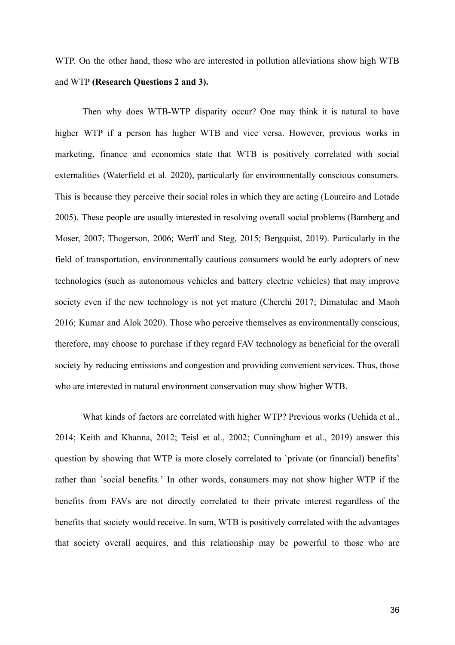WTP. On the other hand, those who are interested in pollution alleviations show high WTB and WTP **(Research Questions 2 and 3).** 

Then why does WTB-WTP disparity occur? One may think it is natural to have higher WTP if a person has higher WTB and vice versa. However, previous works in marketing, finance and economics state that WTB is positively correlated with social externalities (Waterfield et al. 2020), particularly for environmentally conscious consumers. This is because they perceive their social roles in which they are acting (Loureiro and Lotade 2005). These people are usually interested in resolving overall social problems (Bamber[g and](https://paperpile.com/c/4dwmEb/EW4J+DxQN) [Moser, 2007; Thogerson, 2006](https://paperpile.com/c/4dwmEb/EW4J+DxQN); [Werff and Steg, 2015](https://paperpile.com/c/4dwmEb/7EkP); [Bergquist, 2019](https://paperpile.com/c/4dwmEb/1QWJ)). Particularly in the field of transportation, environmentally cautious consumers would be early adopters of new technologies (such as autonomous vehicles and battery electric vehicles) that may improve society even if the new technology is not yet mature [\(Cherchi 2017; Dimatulac and Mao](https://paperpile.com/c/4dwmEb/8FHQ+Kemn+ELZH)[h](https://paperpile.com/c/4dwmEb/8FHQ+Kemn+ELZH) [2016; Kumar and Alok 2020\)](https://paperpile.com/c/4dwmEb/8FHQ+Kemn+ELZH) . Those who perceive themselves as environmentally conscious, therefore, may choose to purchase if they regard FAV technology as beneficial for the overall society by reducing emissions and congestion and providing convenient services. Thus, those who are interested in natural environment conservation may show higher WTB.

What kinds of factors are correlated with higher WTP? Previous works [\(Uchida et al.,](https://paperpile.com/c/4dwmEb/HEy9)  2014; Keith and Khanna, 2012; [Teisl et al., 2002; Cunningham et al., 2019](https://paperpile.com/c/4dwmEb/gPAB+o7OE))answer this question by showing that WTP is more closely correlated to 'private (or financial) benefits' rather than `social benefits.' In other words, consumers may not show higher WTP if the benefits from FAVs are not directly correlated to their private interest regardless of the benefits that society would receive. In sum, WTB is positively correlated with the advantages that society overall acquires, and this relationship may be powerful to those who are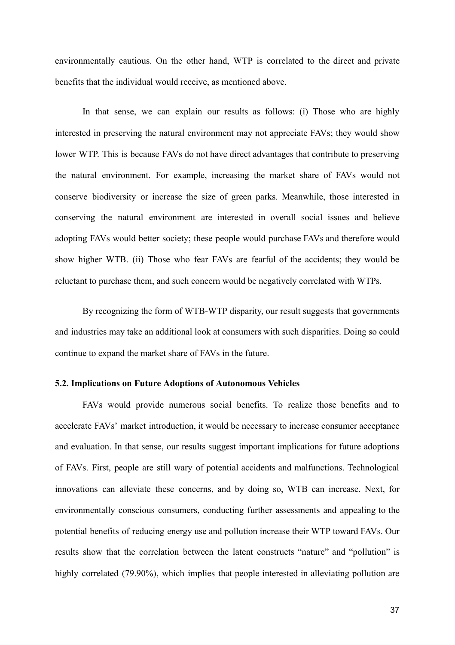environmentally cautious. On the other hand, WTP is correlated to the direct and private benefits that the individual would receive, as mentioned above.

In that sense, we can explain our results as follows: (i) Those who are highly interested in preserving the natural environment may not appreciate FAVs; they would show lower WTP. This is because FAVs do not have direct advantages that contribute to preserving the natural environment. For example, increasing the market share of FAVs would not conserve biodiversity or increase the size of green parks. Meanwhile, those interested in conserving the natural environment are interested in overall social issues and believe adopting FAVs would better society; these people would purchase FAVs and therefore would show higher WTB. (ii) Those who fear FAVs are fearful of the accidents; they would be reluctant to purchase them, and such concern would be negatively correlated with WTPs.

By recognizing the form of WTB-WTP disparity, our result suggests that governments and industries may take an additional look at consumers with such disparities. Doing so could continue to expand the market share of FAVs in the future.

#### **5.2. Implications on Future Adoptions of Autonomous Vehicles**

FAVs would provide numerous social benefits. To realize those benefits and to accelerate FAVs' market introduction, it would be necessary to increase consumer acceptance and evaluation. In that sense, our results suggest important implications for future adoptions of FAVs. First, people are still wary of potential accidents and malfunctions. Technological innovations can alleviate these concerns, and by doing so, WTB can increase. Next, for environmentally conscious consumers, conducting further assessments and appealing to the potential benefits of reducing energy use and pollution increase their WTP toward FAVs. Our results show that the correlation between the latent constructs "nature" and "pollution" is highly correlated (79.90%), which implies that people interested in alleviating pollution are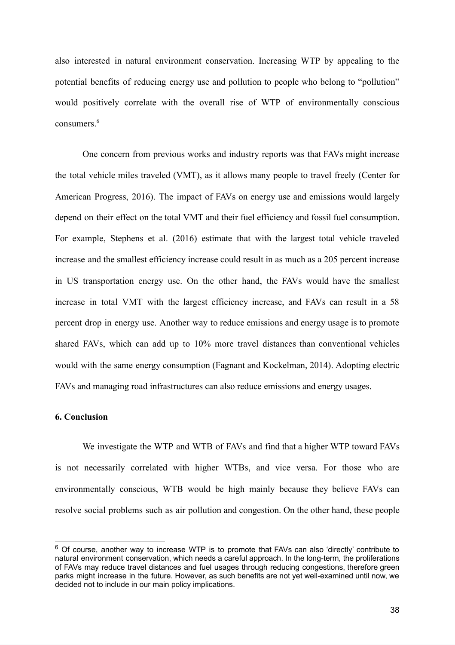also interested in natural environment conservation. Increasing WTP by appealing to the potential benefits of reducing energy use and pollution to people who belong to "pollution" would positively correlate with the overall rise of WTP of environmentally conscious consumers. <sup>6</sup>

One concern from previous works and industry reports was that FAVs might increase the total vehicle miles traveled (VMT), as it allows many people to travel freely (Center for American Progress, 2016). The impact of FAVs on energy use and emissions would largely depend on their effect on the total VMT and their fuel efficiency and fossil fuel consumption. For example, Stephens et al. (2016) estimate that with the largest total vehicle traveled increase and the smallest efficiency increase could result in as much as a 205 percent increase in US transportation energy use. On the other hand, the FAVs would have the smallest increase in total VMT with the largest efficiency increase, and FAVs can result in a 58 percent drop in energy use. Another way to reduce emissions and energy usage is to promote shared FAVs, which can add up to 10% more travel distances than conventional vehicles would with the same energy consumption (Fagnant and Kockelman, 2014). Adopting electric FAVs and managing road infrastructures can also reduce emissions and energy usages.

#### **6. Conclusion**

We investigate the WTP and WTB of FAVs and find that a higher WTP toward FAVs is not necessarily correlated with higher WTBs, and vice versa. For those who are environmentally conscious, WTB would be high mainly because they believe FAVs can resolve social problems such as air pollution and congestion. On the other hand, these people

 $6$  Of course, another way to increase WTP is to promote that FAVs can also 'directly' contribute to natural environment conservation, which needs a careful approach. In the long-term, the proliferations of FAVs may reduce travel distances and fuel usages through reducing congestions, therefore green parks might increase in the future. However, as such benefits are not yet well-examined until now, we decided not to include in our main policy implications.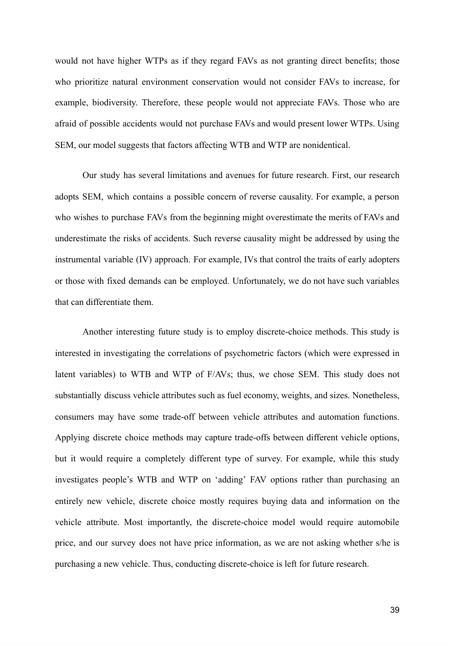would not have higher WTPs as if they regard FAVs as not granting direct benefits; those who prioritize natural environment conservation would not consider FAVs to increase, for example, biodiversity. Therefore, these people would not appreciate FAVs. Those who are afraid of possible accidents would not purchase FAVs and would present lower WTPs. Using SEM, our model suggests that factors affecting WTB and WTP are nonidentical.

Our study has several limitations and avenues for future research. First, our research adopts SEM, which contains a possible concern of reverse causality. For example, a person who wishes to purchase FAVs from the beginning might overestimate the merits of FAVs and underestimate the risks of accidents. Such reverse causality might be addressed by using the instrumental variable (IV) approach. For example, IVs that control the traits of early adopters or those with fixed demands can be employed. Unfortunately, we do not have such variables that can differentiate them.

Another interesting future study is to employ discrete-choice methods. This study is interested in investigating the correlations of psychometric factors (which were expressed in latent variables) to WTB and WTP of F/AVs; thus, we chose SEM. This study does not substantially discuss vehicle attributes such as fuel economy, weights, and sizes. Nonetheless, consumers may have some trade-off between vehicle attributes and automation functions. Applying discrete choice methods may capture trade-offs between different vehicle options, but it would require a completely different type of survey. For example, while this study investigates people's WTB and WTP on 'adding' FAV options rather than purchasing an entirely new vehicle, discrete choice mostly requires buying data and information on the vehicle attribute. Most importantly, the discrete-choice model would require automobile price, and our survey does not have price information, as we are not asking whether s/he is purchasing a new vehicle. Thus, conducting discrete-choice is left for future research.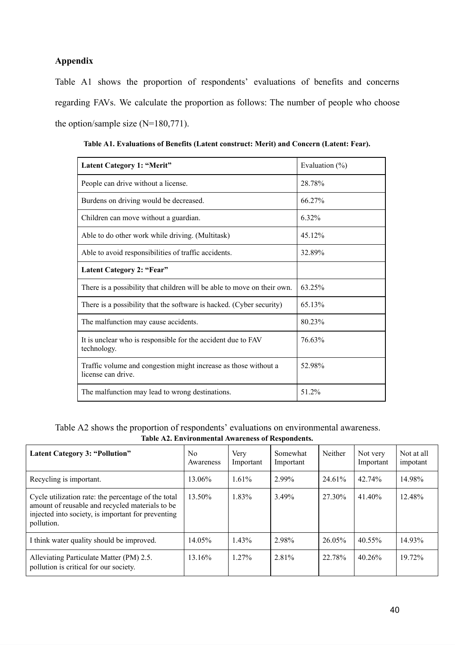# **Appendix**

Table A1 shows the proportion of respondents' evaluations of benefits and concerns regarding FAVs. We calculate the proportion as follows: The number of people who choose the option/sample size (N=180,771).

| Latent Category 1: "Merit"                                                            | Evaluation $(\%)$ |
|---------------------------------------------------------------------------------------|-------------------|
| People can drive without a license.                                                   | 28.78%            |
| Burdens on driving would be decreased.                                                | 66.27%            |
| Children can move without a guardian.                                                 | 6.32%             |
| Able to do other work while driving. (Multitask)                                      | 45.12%            |
| Able to avoid responsibilities of traffic accidents.                                  | 32.89%            |
| Latent Category 2: "Fear"                                                             |                   |
| There is a possibility that children will be able to move on their own.               | 63.25%            |
| There is a possibility that the software is hacked. (Cyber security)                  | 65.13%            |
| The malfunction may cause accidents.                                                  | 80.23%            |
| It is unclear who is responsible for the accident due to FAV<br>technology.           | 76.63%            |
| Traffic volume and congestion might increase as those without a<br>license can drive. | 52.98%            |
| The malfunction may lead to wrong destinations.                                       | 51.2%             |

**Table A1. Evaluations of Benefits (Latent construct: Merit) and Concern (Latent: Fear).** 

Table A2 shows the proportion of respondents' evaluations on environmental awareness. **Table A2. Environmental Awareness of Respondents.** 

| <b>Latent Category 3: "Pollution"</b>                                                                                                                                      | No.<br>Awareness | Very<br>Important | Somewhat<br>Important | Neither | Not very<br>Important | Not at all<br>impotant |
|----------------------------------------------------------------------------------------------------------------------------------------------------------------------------|------------------|-------------------|-----------------------|---------|-----------------------|------------------------|
| Recycling is important.                                                                                                                                                    | 13.06%           | $1.61\%$          | 2.99%                 | 24.61%  | $42.74\%$             | 14.98%                 |
| Cycle utilization rate: the percentage of the total<br>amount of reusable and recycled materials to be<br>injected into society, is important for preventing<br>pollution. | 13.50%           | 1.83%             | 3.49%                 | 27.30%  | 41.40%                | 12.48%                 |
| I think water quality should be improved.                                                                                                                                  | 14.05%           | 1.43%             | 2.98%                 | 26.05%  | 40.55%                | 14.93%                 |
| Alleviating Particulate Matter (PM) 2.5.<br>pollution is critical for our society.                                                                                         | 13.16%           | $1.27\%$          | 2.81%                 | 22.78%  | $40.26\%$             | 19.72%                 |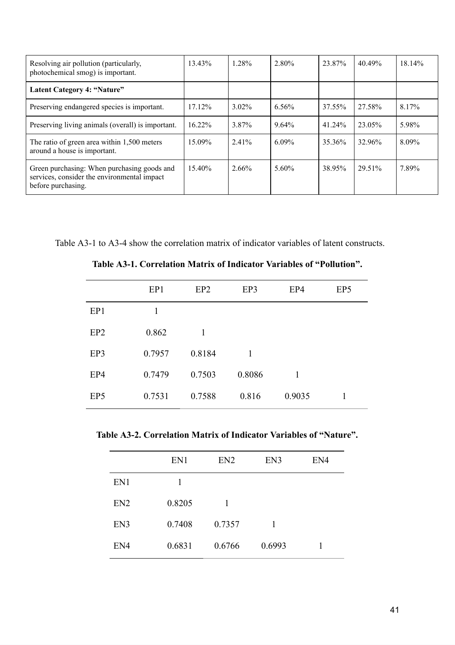| Resolving air pollution (particularly,<br>photochemical smog) is important.                                      | 13.43%    | 1.28%    | 2.80%    | 23.87% | 40.49% | 18.14% |
|------------------------------------------------------------------------------------------------------------------|-----------|----------|----------|--------|--------|--------|
| Latent Category 4: "Nature"                                                                                      |           |          |          |        |        |        |
| Preserving endangered species is important.                                                                      | $17.12\%$ | $3.02\%$ | $6.56\%$ | 37.55% | 27.58% | 8.17%  |
| Preserving living animals (overall) is important.                                                                | $16.22\%$ | 3.87%    | $9.64\%$ | 41.24% | 23.05% | 5.98%  |
| The ratio of green area within 1,500 meters<br>around a house is important.                                      | 15.09%    | $2.41\%$ | $6.09\%$ | 35.36% | 32.96% | 8.09%  |
| Green purchasing: When purchasing goods and<br>services, consider the environmental impact<br>before purchasing. | 15.40%    | 2.66%    | $5.60\%$ | 38.95% | 29.51% | 7.89%  |

Table A3-1 to A3-4 show the correlation matrix of indicator variables of latent constructs.

|                 | EP1    | EP <sub>2</sub> | EP3    | EP4    | EP <sub>5</sub> |
|-----------------|--------|-----------------|--------|--------|-----------------|
| EP1             | 1      |                 |        |        |                 |
| EP <sub>2</sub> | 0.862  | 1               |        |        |                 |
| EP3             | 0.7957 | 0.8184          | 1      |        |                 |
| EP4             | 0.7479 | 0.7503          | 0.8086 | 1      |                 |
| EP <sub>5</sub> | 0.7531 | 0.7588          | 0.816  | 0.9035 | 1               |

**Table A3-1. Correlation Matrix of Indicator Variables of "Pollution".** 

**Table A3-2. Correlation Matrix of Indicator Variables of "Nature".** 

|                 | EN1    | EN <sub>2</sub> | EN3    | EN4 |
|-----------------|--------|-----------------|--------|-----|
| EN1             | 1      |                 |        |     |
| EN <sub>2</sub> | 0.8205 | 1               |        |     |
| EN3             | 0.7408 | 0.7357          | 1      |     |
| EN4             | 0.6831 | 0.6766          | 0.6993 | 1   |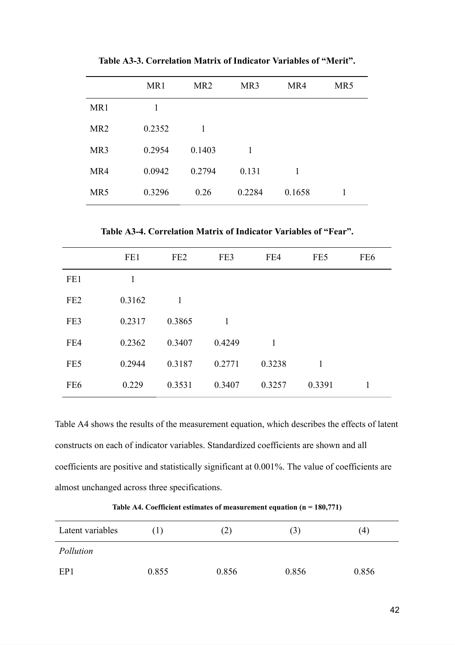|                 | MR1    | MR <sub>2</sub> | MR3    | MR4    | MR5 |
|-----------------|--------|-----------------|--------|--------|-----|
| MR1             | 1      |                 |        |        |     |
| MR <sub>2</sub> | 0.2352 | 1               |        |        |     |
| MR <sub>3</sub> | 0.2954 | 0.1403          | 1      |        |     |
| MR4             | 0.0942 | 0.2794          | 0.131  | 1      |     |
| MR5             | 0.3296 | 0.26            | 0.2284 | 0.1658 |     |

**Table A3-3. Correlation Matrix of Indicator Variables of "Merit".** 

**Table A3-4. Correlation Matrix of Indicator Variables of "Fear".** 

|                 | FE1    | FE <sub>2</sub> | FE3          | FE4    | FE5          | FE <sub>6</sub> |
|-----------------|--------|-----------------|--------------|--------|--------------|-----------------|
| FE1             | 1      |                 |              |        |              |                 |
| FE <sub>2</sub> | 0.3162 | $\mathbf{1}$    |              |        |              |                 |
| FE3             | 0.2317 | 0.3865          | $\mathbf{1}$ |        |              |                 |
| FE4             | 0.2362 | 0.3407          | 0.4249       | 1      |              |                 |
| FE5             | 0.2944 | 0.3187          | 0.2771       | 0.3238 | $\mathbf{1}$ |                 |
| FE <sub>6</sub> | 0.229  | 0.3531          | 0.3407       | 0.3257 | 0.3391       | 1               |
|                 |        |                 |              |        |              |                 |

Table A4 shows the results of the measurement equation, which describes the effects of latent constructs on each of indicator variables. Standardized coefficients are shown and all coefficients are positive and statistically significant at 0.001%. The value of coefficients are almost unchanged across three specifications.

**Table A4. Coefficient estimates of measurement equation (n = 180,771)** 

| Latent variables | (1)   | (2)   | (3)   | (4)   |
|------------------|-------|-------|-------|-------|
| Pollution        |       |       |       |       |
| EP1              | 0.855 | 0.856 | 0.856 | 0.856 |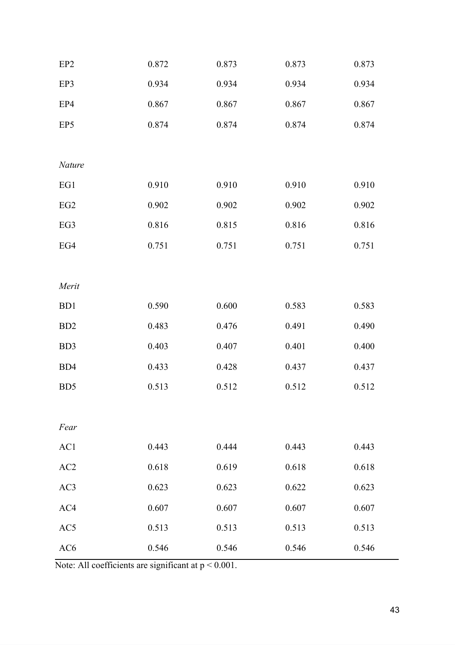| EP <sub>2</sub>  | 0.872 | 0.873 | 0.873 | 0.873 |
|------------------|-------|-------|-------|-------|
| EP3              | 0.934 | 0.934 | 0.934 | 0.934 |
| EP4              | 0.867 | 0.867 | 0.867 | 0.867 |
| EP5              | 0.874 | 0.874 | 0.874 | 0.874 |
|                  |       |       |       |       |
| Nature           |       |       |       |       |
| EG1              | 0.910 | 0.910 | 0.910 | 0.910 |
| EG <sub>2</sub>  | 0.902 | 0.902 | 0.902 | 0.902 |
| EG3              | 0.816 | 0.815 | 0.816 | 0.816 |
| EG4              | 0.751 | 0.751 | 0.751 | 0.751 |
|                  |       |       |       |       |
| Merit            |       |       |       |       |
| B <sub>D</sub> 1 | 0.590 | 0.600 | 0.583 | 0.583 |
| BD <sub>2</sub>  | 0.483 | 0.476 | 0.491 | 0.490 |
| BD3              | 0.403 | 0.407 | 0.401 | 0.400 |
| BD4              | 0.433 | 0.428 | 0.437 | 0.437 |
| BD <sub>5</sub>  | 0.513 | 0.512 | 0.512 | 0.512 |
|                  |       |       |       |       |
| Fear             |       |       |       |       |
| AC1              | 0.443 | 0.444 | 0.443 | 0.443 |
| AC2              | 0.618 | 0.619 | 0.618 | 0.618 |
| AC3              | 0.623 | 0.623 | 0.622 | 0.623 |
| AC4              | 0.607 | 0.607 | 0.607 | 0.607 |
| AC5              | 0.513 | 0.513 | 0.513 | 0.513 |
| AC <sub>6</sub>  | 0.546 | 0.546 | 0.546 | 0.546 |

Note: All coefficients are significant at p < 0.001.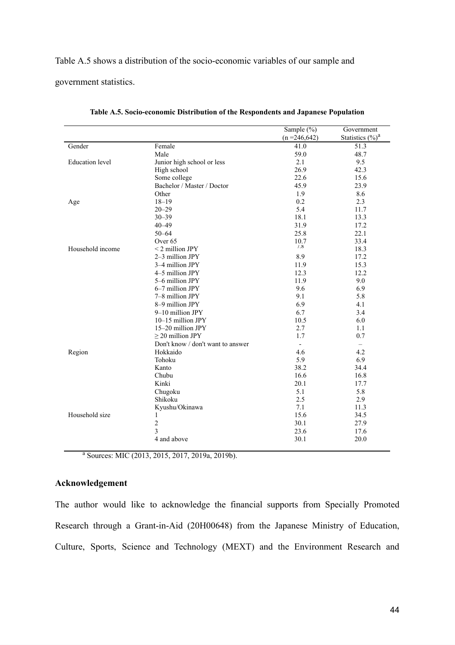#### Table A.5 shows a distribution of the socio-economic variables of our sample and

government statistics.

|                        |                                   | Sample $(\% )$   | Government          |
|------------------------|-----------------------------------|------------------|---------------------|
|                        |                                   | $(n = 246, 642)$ | Statistics $(\%)^a$ |
| Gender                 | Female                            | 41.0             | 51.3                |
|                        | Male                              | 59.0             | 48.7                |
| <b>Education</b> level | Junior high school or less        | 2.1              | 9.5                 |
|                        | High school                       | 26.9             | 42.3                |
|                        | Some college                      | 22.6             | 15.6                |
|                        | Bachelor / Master / Doctor        | 45.9             | 23.9                |
|                        | Other                             | 1.9              | 8.6                 |
| Age                    | $18 - 19$                         | 0.2              | 2.3                 |
|                        | $20 - 29$                         | 5.4              | 11.7                |
|                        | $30 - 39$                         | 18.1             | 13.3                |
|                        | $40 - 49$                         | 31.9             | 17.2                |
|                        | $50 - 64$                         | 25.8             | 22.1                |
|                        | Over <sub>65</sub>                | 10.7             | 33.4                |
| Household income       | $<$ 2 million JPY                 | 1.8              | 18.3                |
|                        | 2-3 million JPY                   | 8.9              | 17.2                |
|                        | 3-4 million JPY                   | 11.9             | 15.3                |
|                        | 4-5 million JPY                   | 12.3             | 12.2                |
|                        | 5-6 million JPY                   | 11.9             | 9.0                 |
|                        | 6-7 million JPY                   | 9.6              | 6.9                 |
|                        | 7-8 million JPY                   | 9.1              | 5.8                 |
|                        | 8-9 million JPY                   | 6.9              | 4.1                 |
|                        | 9-10 million JPY                  | 6.7              | 3.4                 |
|                        | $10-15$ million JPY               | 10.5             | 6.0                 |
|                        | 15-20 million JPY                 | 2.7              | 1.1                 |
|                        | $>$ 20 million JPY                | 1.7              | 0.7                 |
|                        | Don't know / don't want to answer |                  |                     |
| Region                 | Hokkaido                          | 4.6              | 4.2                 |
|                        | Tohoku                            | 5.9              | 6.9                 |
|                        | Kanto                             | 38.2             | 34.4                |
|                        | Chubu                             | 16.6             | 16.8                |
|                        | Kinki                             | 20.1             | 17.7                |
|                        | Chugoku                           | 5.1              | 5.8                 |
|                        | Shikoku                           | 2.5              | 2.9                 |
|                        | Kyushu/Okinawa                    | 7.1              | 11.3                |
| Household size         | 1                                 | 15.6             | 34.5                |
|                        | $\overline{2}$                    | 30.1             | 27.9                |
|                        | 3                                 | 23.6             | 17.6                |
|                        | 4 and above                       | 30.1             | 20.0                |

**Table A.5. Socio-economic Distribution of the Respondents and Japanese Population** 

<sup>a</sup> Sources: MIC (2013, 2015, 2017, 2019a, 2019b).

# **Acknowledgement**

The author would like to acknowledge the financial supports from Specially Promoted Research through a Grant-in-Aid (20H00648) from the Japanese Ministry of Education, Culture, Sports, Science and Technology (MEXT) and the Environment Research and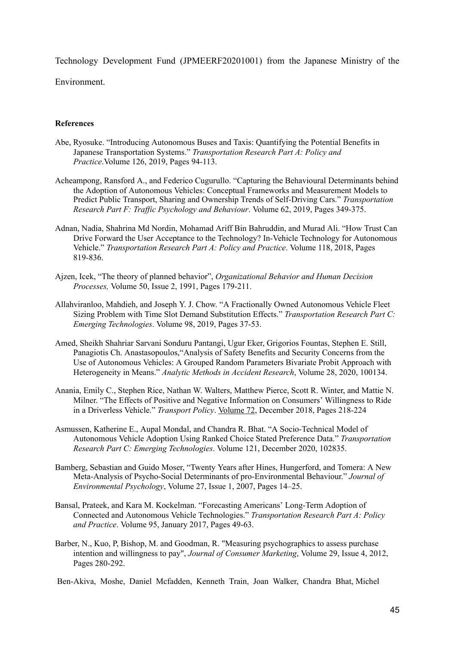Technology Development Fund (JPMEERF20201001) from the Japanese Ministry of the Environment.

#### **References**

- [Abe, Ryosuke. "Introducing Autonomous Buses and Taxis: Quantifying the Potential Benefits in](http://paperpile.com/b/4dwmEb/jmke)  [Japanese Transportation Systems."](http://paperpile.com/b/4dwmEb/jmke) *[Transportation Research Part A: Policy and](http://paperpile.com/b/4dwmEb/jmke)  [Practice](http://paperpile.com/b/4dwmEb/jmke)* . Volume 126, 2019, Pages 94-113.
- [Acheampong, Ransford A., and Federico Cugurullo. "Capturing the Behavioural Determinants behind](http://paperpile.com/b/4dwmEb/VK8k)  [the Adoption of Autonomous Vehicles: Conceptual Frameworks and Measurement Models to](http://paperpile.com/b/4dwmEb/VK8k)  [Predict Public Transport, Sharing and Ownership Trends of Self-Driving Cars."](http://paperpile.com/b/4dwmEb/VK8k) *[Transportation](http://paperpile.com/b/4dwmEb/VK8k)  [Research Part F: Traffic Psychology and Behaviour](http://paperpile.com/b/4dwmEb/VK8k)* [.](http://paperpile.com/b/4dwmEb/VK8k) Volume 62, 2019, Pages 349-375.
- [Adnan, Nadia, Shahrina Md Nordin, Mohamad Ariff Bin Bahruddin, and Murad Ali. "How Trust Can](http://paperpile.com/b/4dwmEb/UPm1)  [Drive Forward the User Acceptance to the Technology? In-Vehicle Technology for Autonomous](http://paperpile.com/b/4dwmEb/UPm1)  [Vehicle."](http://paperpile.com/b/4dwmEb/UPm1) *[Transportation Research Part A: Policy and Practice](http://paperpile.com/b/4dwmEb/UPm1)* [.](http://paperpile.com/b/4dwmEb/UPm1) Volume 118, 2018, Pages 819-836.
- Ajzen, Icek, "The theory of planned behavior", *Organizational Behavior and Human Decision Processes,* Volume 50, Issue 2, 1991, Pages 179-211.
- [Allahviranloo, Mahdieh, and Joseph Y. J. Chow. "A Fractionally Owned Autonomous Vehicle Fleet](http://paperpile.com/b/4dwmEb/o71j)  [Sizing Problem with Time Slot Demand Substitution Effects."](http://paperpile.com/b/4dwmEb/o71j) *[Transportation Research Part C:](http://paperpile.com/b/4dwmEb/o71j)  [Emerging Technologies](http://paperpile.com/b/4dwmEb/o71j)* [.](http://paperpile.com/b/4dwmEb/o71j) [Volume 98 ,](https://www.sciencedirect.com/science/journal/0968090X/98/supp/C) 2019, Pages 37-53.
- Amed, Sheikh Shahriar Sarvani Sonduru Pantangi, Ugur Eker, Grigorios Fountas, Stephen E. Still, Panagiotis Ch. Anastasopoulos[, "Analysis of Safety Benefits and Security Concerns from the](http://paperpile.com/b/4dwmEb/KHZN)  [Use of Autonomous Vehicles: A Grouped Random Parameters Bivariate Probit Approach with](http://paperpile.com/b/4dwmEb/KHZN)  [Heterogeneity in Means."](http://paperpile.com/b/4dwmEb/KHZN) *[Analytic Methods in Accident Research](http://paperpile.com/b/4dwmEb/KHZN)* [, Volume 28, 2020, 100134.](http://paperpile.com/b/4dwmEb/KHZN)
- [Anania, Emily C., Stephen Rice, Nathan W. Walters, Matthew Pierce, Scott R. Winter, and Mattie N.](http://paperpile.com/b/4dwmEb/JE9w)  [Milner. "The Effects of Positive and Negative Information on Consumers' Willingness to Ride](http://paperpile.com/b/4dwmEb/JE9w)  [in a Driverless Vehicle."](http://paperpile.com/b/4dwmEb/JE9w) *[Transport Policy](http://paperpile.com/b/4dwmEb/JE9w)* [.](http://paperpile.com/b/4dwmEb/JE9w) [Volume 72](https://www.sciencedirect.com/science/journal/0967070X/72/supp/C) , December 2018, Pages 218-224
- [Asmussen, Katherine E., Aupal Mondal, and Chandra R. Bhat. "A Socio-Technical Model of](http://paperpile.com/b/4dwmEb/Fe7M)  [Autonomous Vehicle Adoption Using Ranked Choice Stated Preference Data."](http://paperpile.com/b/4dwmEb/Fe7M) *[Transportation](http://paperpile.com/b/4dwmEb/Fe7M)  [Research Part C: Emerging Technologies](http://paperpile.com/b/4dwmEb/Fe7M)* [.](http://paperpile.com/b/4dwmEb/Fe7M) [Volume 121](https://www.sciencedirect.com/science/journal/0968090X/121/supp/C) , December 2020, 102835.
- Bamberg, Sebastian and Guido Moser, ["Twenty Years after Hines, Hungerford, and Tomera: A New](http://paperpile.com/b/4dwmEb/EW4J)  [Meta-Analysis of Psycho-Social Determinants of pro-Environmental Behaviour."](http://paperpile.com/b/4dwmEb/EW4J) *[Journal of](http://paperpile.com/b/4dwmEb/EW4J)  [Environmental Psychology](http://paperpile.com/b/4dwmEb/EW4J)* [, Volume 27, Issue 1, 2007, Pages 14–25.](http://paperpile.com/b/4dwmEb/EW4J)
- [Bansal, Prateek, and Kara M. Kockelman. "Forecasting Americans' Long-Term Adoption of](http://paperpile.com/b/4dwmEb/rZ1n)  [Connected and Autonomous Vehicle Technologies."](http://paperpile.com/b/4dwmEb/rZ1n) *[Transportation Research Part A: Policy](http://paperpile.com/b/4dwmEb/rZ1n)  [and Practice](http://paperpile.com/b/4dwmEb/rZ1n)* [.](http://paperpile.com/b/4dwmEb/rZ1n) [Volume 95](https://www.sciencedirect.com/science/journal/09658564/95/supp/C) , January 2017, Pages 49-63.
- Barber, N., Kuo, P. Bishop, M. and [Goodman, R.](https://www.emerald.com/insight/search?q=Raymond%20Goodman) "Measuring psychographics to assess purchase intentionand willingness to pay", *[Journal of Consumer Marketing](https://www.emerald.com/insight/publication/issn/0736-3761)*, Volume 29, Issue 4, 2012, Pages 280-292.

 [B](https://doi.org/10.1108/07363761211237353)en-Akiva, Moshe, Daniel Mcfadden, Kenneth Train, Joan Walker, Chandra Bhat, Michel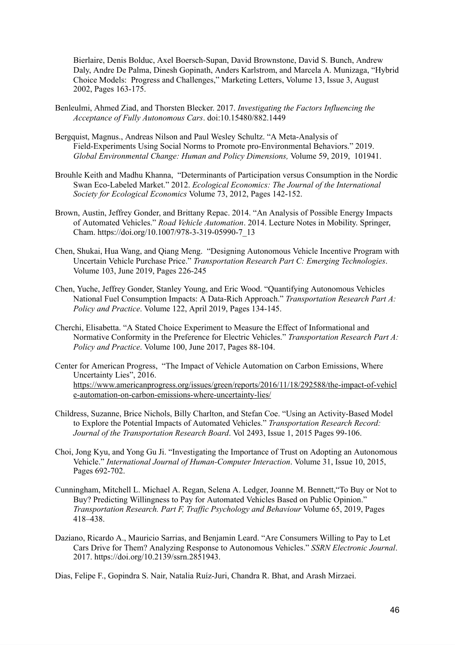Bierlaire, Denis Bolduc, Axel Boersch-Supan, David Brownstone, David S. Bunch, Andrew Daly, Andre De Palma, Dinesh Gopinath, Anders Karlstrom, and Marcela A. Munizaga, "Hybrid Choice Models: Progress and Challenges," Marketing Letters, Volume 13, Issue 3, August 2002, Pages 163-175.

- [Benleulmi, Ahmed Ziad, and Thorsten Blecker. 2017.](http://paperpile.com/b/4dwmEb/vunY) *[Investigating the Factors Influencing the](http://paperpile.com/b/4dwmEb/vunY)  [Acceptance of Fully Autonomous Cars](http://paperpile.com/b/4dwmEb/vunY)* . [doi:10.15480/882.1449](http://dx.doi.org/10.15480/882.1449)
- Bergquist, Magnus., Andreas Nilson and Paul Wesley Schultz. ["A Meta-Analysis of](http://paperpile.com/b/4dwmEb/1QWJ)  [Field-Experiments Using Social Norms to Promote pro-Environmental Behaviors." 2019.](http://paperpile.com/b/4dwmEb/1QWJ)  *[Global Environmental Change: Human and Policy Dimensions,](http://paperpile.com/b/4dwmEb/1QWJ)* [Volume 59, 2019, 101941.](http://paperpile.com/b/4dwmEb/1QWJ)
- Brouhle Keith and Madhu Khanna, ["Determinants of Participation versus Consumption in the Nordic](http://paperpile.com/b/4dwmEb/3Lrv)  [Swan Eco-Labeled Market." 2012.](http://paperpile.com/b/4dwmEb/3Lrv) *[Ecological Economics: The Journal of the International](http://paperpile.com/b/4dwmEb/3Lrv)  [Society for Ecological Economics](http://paperpile.com/b/4dwmEb/3Lrv)* [Volume 73, 2012, Pages](http://paperpile.com/b/4dwmEb/3Lrv) 142-152.
- [Brown, Austin, Jeffrey Gonder, and Brittany Repac. 2014. "An Analysis of Possible Energy Impacts](http://paperpile.com/b/4dwmEb/cpy7)  [of Automated Vehicles."](http://paperpile.com/b/4dwmEb/cpy7) *[Road Vehicle Automation](http://paperpile.com/b/4dwmEb/cpy7)* [. 2014. Lecture Notes in Mobility. Springer,](http://paperpile.com/b/4dwmEb/cpy7)  [Cham. https://doi.org/10.1007/978-3-319-05990-7\\_13](http://paperpile.com/b/4dwmEb/cpy7)
- [Chen, Shukai, Hua Wang, and Qiang Meng. "Designing Autonomous Vehicle Incentive Program with](http://paperpile.com/b/4dwmEb/dGu7)  [Uncertain Vehicle Purchase Price."](http://paperpile.com/b/4dwmEb/dGu7) *[Transportation Research Part C: Emerging Technologies](http://paperpile.com/b/4dwmEb/dGu7)* [.](http://paperpile.com/b/4dwmEb/dGu7)  [Volume 103](https://www.sciencedirect.com/science/journal/0968090X/103/supp/C) , June 2019, Pages 226-245
- [Chen, Yuche, Jeffrey Gonder, Stanley Young, and Eric Wood. "Quantifying Autonomous Vehicles](http://paperpile.com/b/4dwmEb/jFQC)  [National Fuel Consumption Impacts: A Data-Rich Approach."](http://paperpile.com/b/4dwmEb/jFQC) *[Transportation Research Part A:](http://paperpile.com/b/4dwmEb/jFQC)  [Policy and Practice](http://paperpile.com/b/4dwmEb/jFQC)*[.](http://paperpile.com/b/4dwmEb/jFQC) Volume 122, April 2019, Pages 134-145.
- [Cherchi, Elisabetta. "A Stated Choice Experiment to Measure the Effect of Informational and](http://paperpile.com/b/4dwmEb/8FHQ)  [Normative Conformity in the Preference for Electric Vehicles."](http://paperpile.com/b/4dwmEb/8FHQ) *[Transportation Research Part A:](http://paperpile.com/b/4dwmEb/8FHQ)  [Policy and Practice](http://paperpile.com/b/4dwmEb/8FHQ)*[.](http://paperpile.com/b/4dwmEb/8FHQ) Volume 100, June 2017, Pages 88-104.
- Center for American Progress, "The Impact of Vehicle Automation on Carbon Emissions, Where Uncertainty Lies", 2016. [https://www.americanprogress.org/issues/green/reports/2016/11/18/292588/the-impact-of-vehicl](https://www.americanprogress.org/issues/green/reports/2016/11/18/292588/the-impact-of-vehicle-automation-on-carbon-emissions-where-uncertainty-lies/) [e-automation-on-carbon-emissions-where-uncertainty-lies/](https://www.americanprogress.org/issues/green/reports/2016/11/18/292588/the-impact-of-vehicle-automation-on-carbon-emissions-where-uncertainty-lies/)
- [Childress, Suzanne, Brice Nichols, Billy Charlton, and Stefan Coe. "Using an Activity-Based Model](http://paperpile.com/b/4dwmEb/wRGY)  [to Explore the Potential Impacts of Automated Vehicles."](http://paperpile.com/b/4dwmEb/wRGY) *[Transportation Research Record:](http://paperpile.com/b/4dwmEb/wRGY)  [Journal of the Transportation Research Board](http://paperpile.com/b/4dwmEb/wRGY)* [.](http://paperpile.com/b/4dwmEb/wRGY) [Vol 2493, Issue 1, 2015](https://journals.sagepub.com/toc/trra/2493/1) Pages 99-106 [.](http://paperpile.com/b/4dwmEb/wRGY)
- [Choi, Jong Kyu, and Yong Gu Ji. "Investigating the Importance of Trust on Adopting an Autonomous](http://paperpile.com/b/4dwmEb/ypzi)  [Vehicle."](http://paperpile.com/b/4dwmEb/ypzi) *[International Journal of Human-Computer Interaction](http://paperpile.com/b/4dwmEb/ypzi)* [. Volume 31, Issue 10, 2015,](http://paperpile.com/b/4dwmEb/ypzi)  [Pages 692-702.](http://paperpile.com/b/4dwmEb/ypzi)
- Cunningham, Mitchell L. Michael A. Regan, Selena A. Ledger, Joanne M. Bennett[, "To Buy or Not to](http://paperpile.com/b/4dwmEb/o7OE)  [Buy? Predicting Willingness to Pay for Automated Vehicles Based on Public Opinion."](http://paperpile.com/b/4dwmEb/o7OE)  *[Transportation Research. Part F, Traffic Psychology and Behaviour](http://paperpile.com/b/4dwmEb/o7OE)* [Volume 65, 2019, Pages](http://paperpile.com/b/4dwmEb/o7OE)  [418–438.](http://paperpile.com/b/4dwmEb/o7OE)
- [Daziano, Ricardo A., Mauricio Sarrias, and Benjamin Leard. "Are Consumers Willing to Pay to Let](http://paperpile.com/b/4dwmEb/1Z6b)  [Cars Drive for Them? Analyzing Response to Autonomous Vehicles."](http://paperpile.com/b/4dwmEb/1Z6b) *[SSRN Electronic Journal](http://paperpile.com/b/4dwmEb/1Z6b)* [.](http://paperpile.com/b/4dwmEb/1Z6b)  [2017. https://doi.org/](http://paperpile.com/b/4dwmEb/1Z6b)10.2139/ssrn.2851943.

[Dias, Felipe F., Gopindra S. Nair, Natalia Ruíz-Juri, Chandra R. Bhat, and Arash Mirzaei.](http://paperpile.com/b/4dwmEb/gTu3)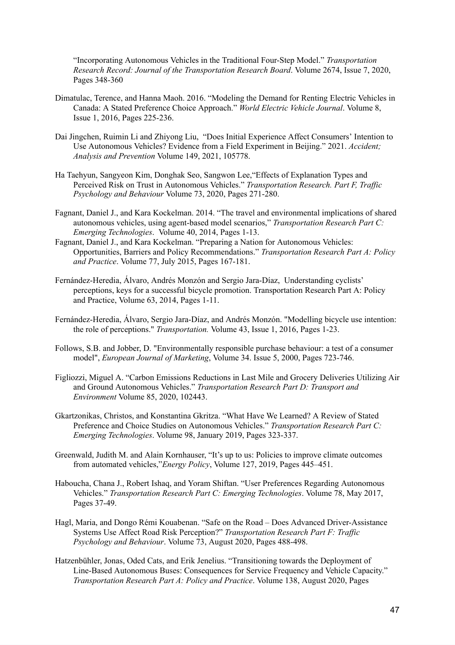["Incorporating Autonomous Vehicles in the Traditional Four-Step Model."](http://paperpile.com/b/4dwmEb/gTu3) *[Transportation](http://paperpile.com/b/4dwmEb/gTu3)  [Research Record: Journal of the Transportation Research Board](http://paperpile.com/b/4dwmEb/gTu3)* [.](http://paperpile.com/b/4dwmEb/gTu3) [Volume 2674, Issue 7, 2020,](https://journals.sagepub.com/toc/trr/2674/7)  Pages 348-360

- [Dimatulac, Terence, and Hanna Maoh. 2016. "Modeling the Demand for Renting Electric Vehicles in](http://paperpile.com/b/4dwmEb/Kemn)  [Canada: A Stated Preference Choice Approach."](http://paperpile.com/b/4dwmEb/Kemn) *[World Electric Vehicle Journal](http://paperpile.com/b/4dwmEb/Kemn)* [.](http://paperpile.com/b/4dwmEb/Kemn) Volume 8, Issue 1, 2016, Pages 225-236.
- Dai Jingchen, Ruimin Li and Zhiyong Liu, ["Does Initial Experience Affect Consumers' Intention to](http://paperpile.com/b/4dwmEb/74Ni)  [Use Autonomous Vehicles? Evidence from a Field Experiment in Beijing." 2021.](http://paperpile.com/b/4dwmEb/74Ni) *[Accident;](http://paperpile.com/b/4dwmEb/74Ni)  [Analysis and Prevention](http://paperpile.com/b/4dwmEb/74Ni)* [Volume 149, 2021, 105778.](http://paperpile.com/b/4dwmEb/74Ni)
- Ha Taehyun, Sangyeon Kim, Donghak Seo, Sangwon Lee, ["Effects of Explanation Types and](http://paperpile.com/b/4dwmEb/aI0p)  [Perceived Risk on Trust in Autonomous Vehicles."](http://paperpile.com/b/4dwmEb/aI0p) *[Transportation Research. Part F, Traffic](http://paperpile.com/b/4dwmEb/aI0p)  [Psychology and Behaviour](http://paperpile.com/b/4dwmEb/aI0p)* [Volume 73, 2020, Pages 271-280 .](http://paperpile.com/b/4dwmEb/aI0p)
- [Fagnant, Daniel J., and Kara Kockelman. 2014. "The travel and environmental implications of shared](http://paperpile.com/b/4dwmEb/Wpjn)  [autonomous vehicles, using agent-based model scenarios,"](http://paperpile.com/b/4dwmEb/Wpjn) *[Transportation Research Part C:](http://paperpile.com/b/4dwmEb/Wpjn)  [Emerging Technologies](http://paperpile.com/b/4dwmEb/Wpjn)* [.](http://paperpile.com/b/4dwmEb/Wpjn) Volume 40, 2014, Pages 1-13.
- [Fagnant, Daniel J., and Kara Kockelman. "Preparing a Nation for Autonomous Vehicles:](http://paperpile.com/b/4dwmEb/Wpjn)  [Opportunities, Barriers and Policy Recommendations."](http://paperpile.com/b/4dwmEb/Wpjn) *[Transportation Research Part A: Policy](http://paperpile.com/b/4dwmEb/Wpjn)  [and Practice](http://paperpile.com/b/4dwmEb/Wpjn)* [.](http://paperpile.com/b/4dwmEb/Wpjn) [Volume 77](https://www.sciencedirect.com/science/journal/09658564/77/supp/C) , July 2015, Pages 167-181.
- Fernández-Heredia, Álvaro, Andrés Monzón and Sergio Jara-Díaz, Understanding cyclists' perceptions, keys for a successful bicycle promotion. Transportation Research Part A: Policy and Practice, Volume 63, 2014, Pages 1-11.
- Fernández-Heredia, Álvaro, Sergio Jara-Díaz, and Andrés Monzón. "Modelling bicycle use intention: the role of perceptions." *Transportation.* Volume 43, Issue 1, 2016, Pages 1-23.
- [Follows, S.B.](https://www.emerald.com/insight/search?q=Scott%20B.%20Follows) and [Jobber, D.](https://www.emerald.com/insight/search?q=David%20Jobber) "Environmentally responsible purchase behaviour: a test of a consumer model"[,](https://www.emerald.com/insight/publication/issn/0309-0566) *[European Journal of Marketing](https://www.emerald.com/insight/publication/issn/0309-0566)* , Volume 34. Issue 5, 2000, Pages 723-746.
- [Figliozzi, Miguel A. "Carbon Emissions Reductions in Last Mile and Grocery Deliveries Utilizing Air](http://paperpile.com/b/4dwmEb/7Qko)  [and Ground Autonomous Vehicles."](http://paperpile.com/b/4dwmEb/7Qko) *[Transportation Research Part D: Transport and](http://paperpile.com/b/4dwmEb/7Qko)  [Environment](http://paperpile.com/b/4dwmEb/7Qko)* [Volume 85, 2020, 102443.](http://paperpile.com/b/4dwmEb/7Qko)
- [Gkartzonikas, Christos, and Konstantina Gkritza. "What Have We Learned? A Review of Stated](http://paperpile.com/b/4dwmEb/76QC)  [Preference and Choice Studies on Autonomous Vehicles."](http://paperpile.com/b/4dwmEb/76QC) *[Transportation Research Part C:](http://paperpile.com/b/4dwmEb/76QC)  [Emerging Technologies](http://paperpile.com/b/4dwmEb/76QC)* [.](http://paperpile.com/b/4dwmEb/76QC) [Volume 98 ,](https://www.sciencedirect.com/science/journal/0968090X/98/supp/C) January 2019, Pages 323-337.
- Greenwald, Judith M. and Alain Kornhauser, "It's up to us: Policies to improve climate outcomes from automated vehicles," *Energy Policy* , Volume 127, 2019, Pages 445–451.
- [Haboucha, Chana J., Robert Ishaq, and Yoram Shiftan. "User Preferences Regarding Autonomous](http://paperpile.com/b/4dwmEb/YF5d)  [Vehicles."](http://paperpile.com/b/4dwmEb/YF5d) *[Transportation Research Part C: Emerging Technologies](http://paperpile.com/b/4dwmEb/YF5d)* [.](http://paperpile.com/b/4dwmEb/YF5d) [Volume 78](https://www.sciencedirect.com/science/journal/0968090X/78/supp/C) [, May 2017,](http://paperpile.com/b/4dwmEb/YF5d)  [Pages 37-49.](http://paperpile.com/b/4dwmEb/YF5d)
- [Hagl, Maria, and Dongo Rémi Kouabenan. "Safe on the Road Does Advanced Driver-Assistance](http://paperpile.com/b/4dwmEb/W0Kk)  [Systems Use Affect Road Risk Perception?"](http://paperpile.com/b/4dwmEb/W0Kk) *[Transportation Research Part F: Traffic](http://paperpile.com/b/4dwmEb/W0Kk)  [Psychology and Behaviour](http://paperpile.com/b/4dwmEb/W0Kk)* [.](http://paperpile.com/b/4dwmEb/W0Kk) [Volume 73 ,](https://www.sciencedirect.com/science/journal/13698478/73/supp/C) August 2020, Pages 488-498.
- [Hatzenbühler, Jonas, Oded Cats, and Erik Jenelius. "Transitioning towards the Deployment of](http://paperpile.com/b/4dwmEb/nO6S)  [Line-Based Autonomous Buses: Consequences for Service Frequency and Vehicle Capacity."](http://paperpile.com/b/4dwmEb/nO6S)  *[Transportation Research Part A: Policy and Practice](http://paperpile.com/b/4dwmEb/nO6S)* [.](http://paperpile.com/b/4dwmEb/nO6S) [Volume 138](https://www.sciencedirect.com/science/journal/09658564/138/supp/C) , August 2020, Pages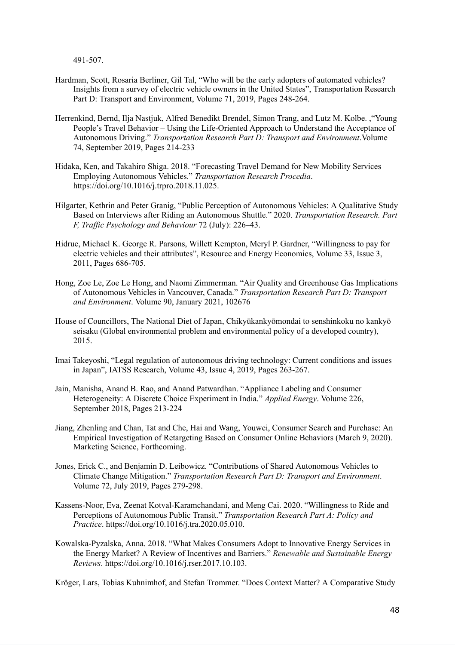491-507.

- Hardman, Scott, Rosaria Berliner, Gil Tal, "Who will be the early adopters of automated vehicles? Insights from a survey of electric vehicle owners in the United States", Transportation Research Part D: Transport and Environment, Volume 71, 2019, Pages 248-264.
- [Herrenkind, Bernd, Ilja Nastjuk, Alfred Benedikt Brendel, Simon Trang, and Lutz M. Kolbe. ,"Young](http://paperpile.com/b/4dwmEb/ndxa)  [People's Travel Behavior – Using the Life-Oriented Approach to Understand the Acceptance of](http://paperpile.com/b/4dwmEb/ndxa)  [Autonomous Driving."](http://paperpile.com/b/4dwmEb/ndxa) *[Transportation Research Part D: Transport and Environment](http://paperpile.com/b/4dwmEb/ndxa)* . [Volume](https://www.sciencedirect.com/science/journal/13619209/74/supp/C)  [74 ,](https://www.sciencedirect.com/science/journal/13619209/74/supp/C) September 2019, Pages 214-233
- [Hidaka, Ken, and Takahiro Shiga. 2018. "Forecasting Travel Demand for New Mobility Services](http://paperpile.com/b/4dwmEb/Gzy0)  [Employing Autonomous Vehicles."](http://paperpile.com/b/4dwmEb/Gzy0) *[Transportation Research Procedia](http://paperpile.com/b/4dwmEb/Gzy0)* [.](http://paperpile.com/b/4dwmEb/Gzy0)  [https://doi.org/](http://paperpile.com/b/4dwmEb/Gzy0)10.1016/j.trpro.2018.11.025.
- Hilgarter, Kethrin and Peter Granig, ["Public Perception of Autonomous Vehicles: A Qualitative Study](http://paperpile.com/b/4dwmEb/39vI)  [Based on Interviews after Riding an Autonomous Shuttle." 2020.](http://paperpile.com/b/4dwmEb/39vI) *[Transportation Research. Part](http://paperpile.com/b/4dwmEb/39vI)  [F, Traffic Psychology and Behaviour](http://paperpile.com/b/4dwmEb/39vI)* [72 \(July\): 226–43.](http://paperpile.com/b/4dwmEb/39vI)
- Hidrue, Michael K. George R. Parsons, Willett Kempton, Meryl P. Gardner, "Willingness to pay for electric vehicles and their attributes", Resource and Energy Economics, Volume 33, Issue 3, 2011, Pages 686-705.
- [Hong, Zoe Le, Zoe Le Hong, and Naomi Zimmerman. "Air Quality and Greenhouse Gas Implications](http://paperpile.com/b/4dwmEb/Gmso)  [of Autonomous Vehicles in Vancouver, Canada."](http://paperpile.com/b/4dwmEb/Gmso) *[Transportation Research Part D: Transport](http://paperpile.com/b/4dwmEb/Gmso)*  and Environment[.](http://paperpile.com/b/4dwmEb/Gmso) Volume 90, January 2021, 102676
- House of Councillors, The National Diet of Japan, Chikyūkankyōmondai to senshinkoku no kankyō seisaku (Global environmental problem and environmental policy of a developed country), 2015.
- Imai Takeyoshi, "Legal regulation of autonomous driving technology: Current conditions and issues in Japan", IATSS Research, Volume 43, Issue 4, 2019, Pages 263-267.
- [Jain, Manisha, Anand B. Rao, and Anand Patwardhan. "Appliance Labeling and Consumer](http://paperpile.com/b/4dwmEb/6FS5)  [Heterogeneity: A Discrete Choice Experiment in India."](http://paperpile.com/b/4dwmEb/6FS5) *[Applied Energy](http://paperpile.com/b/4dwmEb/6FS5)* [.](http://paperpile.com/b/4dwmEb/6FS5) [Volume 226 ,](https://www.sciencedirect.com/science/journal/03062619/226/supp/C) September 2018, Pages 213-224
- Jiang, Zhenling and Chan, Tat and Che, Hai and Wang, Youwei, Consumer Search and Purchase: An Empirical Investigation of Retargeting Based on Consumer Online Behaviors (March 9, 2020). Marketing Science, Forthcoming.
- [Jones, Erick C., and Benjamin D. Leibowicz. "Contributions of Shared Autonomous Vehicles to](http://paperpile.com/b/4dwmEb/i6Lj)  [Climate Change Mitigation."](http://paperpile.com/b/4dwmEb/i6Lj) *[Transportation Research Part D: Transport and Environment](http://paperpile.com/b/4dwmEb/i6Lj)* [.](http://paperpile.com/b/4dwmEb/i6Lj)  [Volume 72 ,](https://www.sciencedirect.com/science/journal/13619209/72/supp/C) July 2019, Pages 279-298.
- [Kassens-Noor, Eva, Zeenat Kotval-Karamchandani, and Meng Cai. 2020. "Willingness to Ride and](http://paperpile.com/b/4dwmEb/NbU5)  [Perceptions of Autonomous Public Transit."](http://paperpile.com/b/4dwmEb/NbU5) *[Transportation Research Part A: Policy and](http://paperpile.com/b/4dwmEb/NbU5)  [Practice](http://paperpile.com/b/4dwmEb/NbU5)*[. https://doi.org/](http://paperpile.com/b/4dwmEb/NbU5)10.1016/j.tra.2020.05.010.
- [Kowalska-Pyzalska, Anna. 2018. "What Makes Consumers Adopt to Innovative Energy Services in](http://paperpile.com/b/4dwmEb/AJf7)  [the Energy Market? A Review of Incentives and Barriers."](http://paperpile.com/b/4dwmEb/AJf7) *[Renewable and Sustainable Energy](http://paperpile.com/b/4dwmEb/AJf7)  [Reviews](http://paperpile.com/b/4dwmEb/AJf7)* [. https://doi.org/](http://paperpile.com/b/4dwmEb/AJf7) [10.1016/j.rser.2017.10.103](http://dx.doi.org/10.1016/j.rser.2017.10.103) [.](http://paperpile.com/b/4dwmEb/AJf7)

[Kröger, Lars, Tobias Kuhnimhof, and Stefan Trommer. "Does Context Matter? A Comparative Study](http://paperpile.com/b/4dwmEb/gSYn)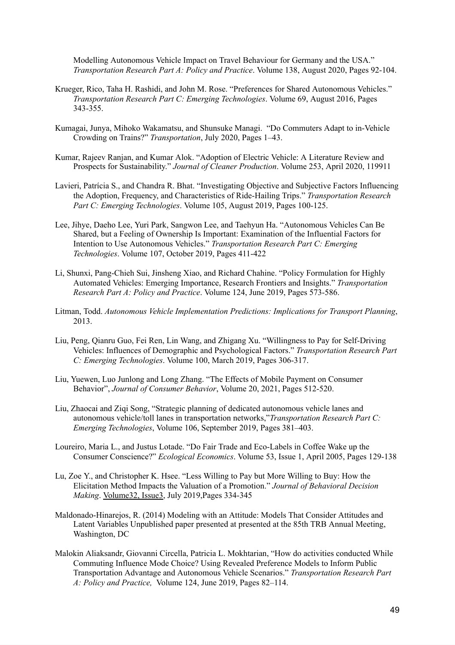[Modelling Autonomous Vehicle Impact on Travel Behaviour for Germany and the USA."](http://paperpile.com/b/4dwmEb/gSYn)  *[Transportation Research Part A: Policy and Practice](http://paperpile.com/b/4dwmEb/gSYn)*[.](http://paperpile.com/b/4dwmEb/gSYn) [Volume 138](https://www.sciencedirect.com/science/journal/09658564/138/supp/C), August 2020, Pages 92-104.

- [Krueger, Rico, Taha H. Rashidi, and John M. Rose. "Preferences for Shared Autonomous Vehicles."](http://paperpile.com/b/4dwmEb/ZGbh)  *[Transportation Research Part C: Emerging Technologies](http://paperpile.com/b/4dwmEb/ZGbh)* [.](http://paperpile.com/b/4dwmEb/ZGbh) [Volume 69](https://www.sciencedirect.com/science/journal/0968090X/69/supp/C) , August 2016, Pages 343-355.
- [Kumagai, Junya, Mihoko Wakamatsu, and Shunsuke Managi. "Do Commuters Adapt to in-Vehicle](http://paperpile.com/b/4dwmEb/G2AS)  [Crowding on Trains?"](http://paperpile.com/b/4dwmEb/G2AS) *[Transportation](http://paperpile.com/b/4dwmEb/G2AS)* [, July 2020, Pages 1–43.](http://paperpile.com/b/4dwmEb/G2AS)
- [Kumar, Rajeev Ranjan, and Kumar Alok. "Adoption of Electric Vehicle: A Literature Review and](http://paperpile.com/b/4dwmEb/ELZH)  [Prospects for Sustainability."](http://paperpile.com/b/4dwmEb/ELZH) *[Journal of Cleaner Production](http://paperpile.com/b/4dwmEb/ELZH)* [.](http://paperpile.com/b/4dwmEb/ELZH) [Volume 253](https://www.sciencedirect.com/science/journal/09596526/253/supp/C) , April 2020, 119911
- [Lavieri, Patrícia S., and Chandra R. Bhat. "Investigating Objective and Subjective Factors Influencing](http://paperpile.com/b/4dwmEb/xNNB)  [the Adoption, Frequency, and Characteristics of Ride-Hailing Trips."](http://paperpile.com/b/4dwmEb/xNNB) *[Transportation Research](http://paperpile.com/b/4dwmEb/xNNB)  [Part C: Emerging Technologies](http://paperpile.com/b/4dwmEb/xNNB)*[.](http://paperpile.com/b/4dwmEb/xNNB) Volume 105, August 2019, Pages 100-125.
- [Lee, Jihye, Daeho Lee, Yuri Park, Sangwon Lee, and Taehyun Ha. "Autonomous Vehicles Can Be](http://paperpile.com/b/4dwmEb/1fx2)  [Shared, but a Feeling of Ownership Is Important: Examination of the Influential Factors for](http://paperpile.com/b/4dwmEb/1fx2)  [Intention to Use Autonomous Vehicles."](http://paperpile.com/b/4dwmEb/1fx2) *[Transportation Research Part C: Emerging](http://paperpile.com/b/4dwmEb/1fx2)  [Technologies](http://paperpile.com/b/4dwmEb/1fx2)* [.](http://paperpile.com/b/4dwmEb/1fx2) [Volume 107](https://www.sciencedirect.com/science/journal/0968090X/107/supp/C) , October 2019, Pages 411-422
- [Li, Shunxi, Pang-Chieh Sui, Jinsheng Xiao, and Richard Chahine. "Policy Formulation for Highly](http://paperpile.com/b/4dwmEb/blKq)  [Automated Vehicles: Emerging Importance, Research Frontiers and Insights."](http://paperpile.com/b/4dwmEb/blKq) *[Transportation](http://paperpile.com/b/4dwmEb/blKq)  [Research Part A: Policy and Practice](http://paperpile.com/b/4dwmEb/blKq)* [.](http://paperpile.com/b/4dwmEb/blKq) [Volume 124 ,](https://www.sciencedirect.com/science/journal/09658564/124/supp/C) June 2019, Pages 573-586.
- [Litman, Todd.](http://paperpile.com/b/4dwmEb/tTr7) *[Autonomous Vehicle Implementation Predictions: Implications for Transport Planning](http://paperpile.com/b/4dwmEb/tTr7)* , 2013.
- [Liu, Peng, Qianru Guo, Fei Ren, Lin Wang, and Zhigang Xu. "Willingness to Pay for Self-Driving](http://paperpile.com/b/4dwmEb/OoKn)  [Vehicles: Influences of Demographic and Psychological Factors."](http://paperpile.com/b/4dwmEb/OoKn) *[Transportation Research Part](http://paperpile.com/b/4dwmEb/OoKn)  C: Emerging Technologies[.](http://paperpile.com/b/4dwmEb/OoKn) [Volume 100](https://www.sciencedirect.com/science/journal/0968090X/100/supp/C), March 2019, Pages 306-317.*
- Liu, Yuewen, Luo Junlong and Long Zhang. "The Effects of Mobile Payment on Consumer Behavior", *Journal of Consumer Behavior*, Volume 20, 2021, Pages 512-520.
- Liu, Zhaocai and Ziqi Song, "Strategic planning of dedicated autonomous vehicle lanes and autonomous vehicle/toll lanes in transportation networks," *Transportation Research Part C: Emerging Technologies* , Volume 106, September 2019, Pages 381–403.
- [Loureiro, Maria L., and Justus Lotade. "Do Fair Trade and Eco-Labels in Coffee Wake up the](http://paperpile.com/b/4dwmEb/moYT)  [Consumer Conscience?"](http://paperpile.com/b/4dwmEb/moYT) *[Ecological Economics](http://paperpile.com/b/4dwmEb/moYT)* [.](http://paperpile.com/b/4dwmEb/moYT) [Volume 53, Issue 1 ,](https://www.sciencedirect.com/science/journal/09218009/53/1) April 2005, Pages 129-138
- [Lu, Zoe Y., and Christopher K. Hsee. "Less Willing to Pay but More Willing to Buy: How the](http://paperpile.com/b/4dwmEb/SSAY)  [Elicitation Method Impacts the Valuation of a Promotion."](http://paperpile.com/b/4dwmEb/SSAY) *[Journal of Behavioral Decision](http://paperpile.com/b/4dwmEb/SSAY)  Making. Volume32, Issue3, July 2019, Pages 334-345*
- Maldonado-Hinarejos, R. (2014) Modeling with an Attitude: Models That Consider Attitudes and Latent Variables Unpublished paper presented at presented at the 85th TRB Annual Meeting, Washington, DC
- Malokin Aliaksandr, Giovanni Circella, Patricia L. Mokhtarian, "How do activities conducted While [Commuting Influence Mode Choice? Using Revealed Preference Models to Inform Public](http://paperpile.com/b/4dwmEb/lsIn)  [Transportation Advantage and Autonomous Vehicle Scenarios."](http://paperpile.com/b/4dwmEb/lsIn) *[Transportation Research Part](http://paperpile.com/b/4dwmEb/lsIn)  [A: Policy and Practice,](http://paperpile.com/b/4dwmEb/lsIn)* [Volume 124, June 2019, Pages 82–114.](http://paperpile.com/b/4dwmEb/lsIn)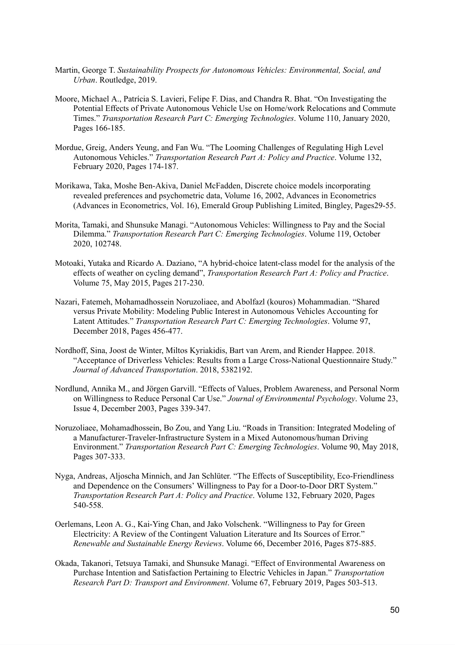- [Martin, George T.](http://paperpile.com/b/4dwmEb/5qJo) *[Sustainability Prospects for Autonomous Vehicles: Environmental, Social, and](http://paperpile.com/b/4dwmEb/5qJo)  [Urban](http://paperpile.com/b/4dwmEb/5qJo)*[. Routledge](http://paperpile.com/b/4dwmEb/5qJo), 2019.
- [Moore, Michael A., Patrícia S. Lavieri, Felipe F. Dias, and Chandra R. Bhat. "On Investigating the](http://paperpile.com/b/4dwmEb/BBac)  [Potential Effects of Private Autonomous Vehicle Use on Home/work Relocations and Commute](http://paperpile.com/b/4dwmEb/BBac)  [Times."](http://paperpile.com/b/4dwmEb/BBac) *[Transportation Research Part C: Emerging Technologies](http://paperpile.com/b/4dwmEb/BBac)* [.](http://paperpile.com/b/4dwmEb/BBac) [Volume 110 ,](https://www.sciencedirect.com/science/journal/0968090X/110/supp/C) January 2020, Pages 166-185.
- [Mordue, Greig, Anders Yeung, and Fan Wu. "The Looming Challenges of Regulating High Level](http://paperpile.com/b/4dwmEb/V30B)  [Autonomous Vehicles."](http://paperpile.com/b/4dwmEb/V30B) *[Transportation Research Part A: Policy and Practice](http://paperpile.com/b/4dwmEb/V30B)* [.](http://paperpile.com/b/4dwmEb/V30B) [Volume 132](https://www.sciencedirect.com/science/journal/09658564/132/supp/C) [,](http://paperpile.com/b/4dwmEb/V30B)  [February 2020, Pages 174-187.](http://paperpile.com/b/4dwmEb/V30B)
- Morikawa, Taka, Moshe Ben-Akiva, Daniel McFadden, Discrete choice models incorporating revealed preferences and psychometric data, Volume 16, 2002, Advances in Econometrics (Advances in Econometrics, Vol. 16), Emerald Group Publishing Limited, Bingley, Pages29-55.
- [Morita, Tamaki, and Shunsuke Managi. "Autonomous Vehicles: Willingness to Pay and the Social](http://paperpile.com/b/4dwmEb/0RLI)  [Dilemma."](http://paperpile.com/b/4dwmEb/0RLI) *[Transportation Research Part C: Emerging Technologies](http://paperpile.com/b/4dwmEb/0RLI)* [.](http://paperpile.com/b/4dwmEb/0RLI) [Volume 119](https://www.sciencedirect.com/science/journal/0968090X/119/supp/C) [, October](http://paperpile.com/b/4dwmEb/0RLI)  [2020, 102748.](http://paperpile.com/b/4dwmEb/0RLI)
- Motoaki, Yutaka and Ricardo A. Daziano, "A hybrid-choice latent-class model for the analysis of the effects of weather on cycling demand", *[Transportation Research Part A: Policy and Practice](http://paperpile.com/b/4dwmEb/V30B)* [.](http://paperpile.com/b/4dwmEb/V30B)  [Volume 7](https://www.sciencedirect.com/science/journal/09658564/132/supp/C)5 [, May 2015, Pages](http://paperpile.com/b/4dwmEb/V30B) 217-230.
- [Nazari, Fatemeh, Mohamadhossein Noruzoliaee, and Abolfazl \(kouros\) Mohammadian. "Shared](http://paperpile.com/b/4dwmEb/mhEy)  [versus Private Mobility: Modeling Public Interest in Autonomous Vehicles Accounting for](http://paperpile.com/b/4dwmEb/mhEy)  [Latent Attitudes."](http://paperpile.com/b/4dwmEb/mhEy) *[Transportation Research Part C: Emerging Technologies](http://paperpile.com/b/4dwmEb/mhEy)* [.](http://paperpile.com/b/4dwmEb/mhEy) [Volume 97 ,](https://www.sciencedirect.com/science/journal/0968090X/97/supp/C) December 2018, Pages 456-477.
- [Nordhoff, Sina, Joost de Winter, Miltos Kyriakidis, Bart van Arem, and Riender Happee. 2018.](http://paperpile.com/b/4dwmEb/9qrp)  ["Acceptance of Driverless Vehicles: Results from a Large Cross-National Questionnaire Study."](http://paperpile.com/b/4dwmEb/9qrp)  *[Journal of Advanced Transportation](http://paperpile.com/b/4dwmEb/9qrp)* [. 2018, 5382192](http://paperpile.com/b/4dwmEb/9qrp) .
- [Nordlund, Annika M., and Jörgen Garvill. "Effects of Values, Problem Awareness, and Personal Norm](http://paperpile.com/b/4dwmEb/5vCl)  [on Willingness to Reduce Personal Car Use."](http://paperpile.com/b/4dwmEb/5vCl) *[Journal of Environmental Psychology](http://paperpile.com/b/4dwmEb/5vCl)* [.](http://paperpile.com/b/4dwmEb/5vCl) [Volume 23,](https://www.sciencedirect.com/science/journal/02724944/23/4)  [Issue 4](https://www.sciencedirect.com/science/journal/02724944/23/4), December 2003, Pages 339-347.
- [Noruzoliaee, Mohamadhossein, Bo Zou, and Yang Liu. "Roads in Transition: Integrated Modeling of](http://paperpile.com/b/4dwmEb/ICul)  [a Manufacturer-Traveler-Infrastructure System in a Mixed Autonomous/human Driving](http://paperpile.com/b/4dwmEb/ICul)  [Environment."](http://paperpile.com/b/4dwmEb/ICul) *Transportation Research Part C: Emerging Technologies*[.](http://paperpile.com/b/4dwmEb/ICul) Volume 90, May 2018, Pages 307-333.
- [Nyga, Andreas, Aljoscha Minnich, and Jan Schlüter. "The Effects of Susceptibility, Eco-Friendliness](http://paperpile.com/b/4dwmEb/qDVU)  [and Dependence on the Consumers' Willingness to Pay for a Door-to-Door DRT System."](http://paperpile.com/b/4dwmEb/qDVU)  *[Transportation Research Part A: Policy and Practice](http://paperpile.com/b/4dwmEb/qDVU).* [Volume 132](https://www.sciencedirect.com/science/journal/09658564/132/supp/C), February 2020, Pages [540-558.](http://paperpile.com/b/4dwmEb/qDVU)
- [Oerlemans, Leon A. G., Kai-Ying Chan, and Jako Volschenk. "Willingness to Pay for Green](http://paperpile.com/b/4dwmEb/uLd7)  [Electricity: A Review of the Contingent Valuation Literature and Its Sources of Error."](http://paperpile.com/b/4dwmEb/uLd7)  *[Renewable and Sustainable Energy Reviews](http://paperpile.com/b/4dwmEb/uLd7)* [.](http://paperpile.com/b/4dwmEb/uLd7) [Volume 66](https://www.sciencedirect.com/science/journal/13640321/66/supp/C) , December 2016, Pages 875-885.
- [Okada, Takanori, Tetsuya Tamaki, and Shunsuke Managi. "Effect of Environmental Awareness on](http://paperpile.com/b/4dwmEb/YIKC)  [Purchase Intention and Satisfaction Pertaining to Electric Vehicles in Japan."](http://paperpile.com/b/4dwmEb/YIKC) *[Transportation](http://paperpile.com/b/4dwmEb/YIKC)  [Research Part D: Transport and Environment](http://paperpile.com/b/4dwmEb/YIKC)* [.](http://paperpile.com/b/4dwmEb/YIKC) [Volume 67](https://www.sciencedirect.com/science/journal/13619209/67/supp/C) [, February 2019, Pages 503-513.](http://paperpile.com/b/4dwmEb/YIKC)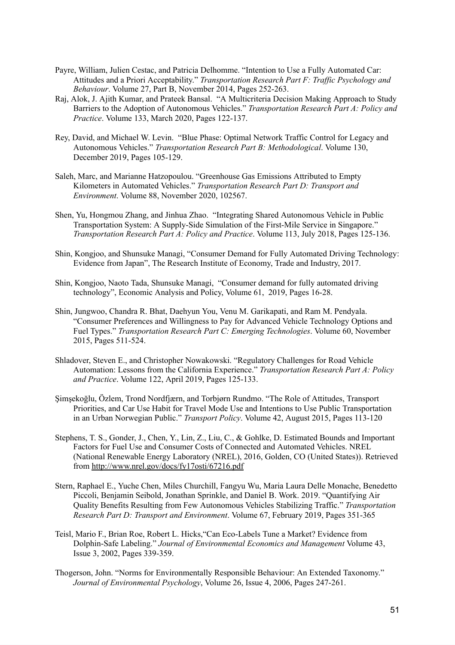- [Payre, William, Julien Cestac, and Patricia Delhomme. "Intention to Use a Fully Automated Car:](http://paperpile.com/b/4dwmEb/XCTM)  [Attitudes and a Priori Acceptability."](http://paperpile.com/b/4dwmEb/XCTM) *[Transportation Research Part F: Traffic Psychology and](http://paperpile.com/b/4dwmEb/XCTM)  Behaviour*[.](http://paperpile.com/b/4dwmEb/XCTM) [Volume 27, Part B](https://www.sciencedirect.com/science/journal/13698478/27/part/PB), November 2014, Pages 252-263.
- [Raj, Alok, J. Ajith Kumar, and Prateek Bansal. "A Multicriteria Decision Making Approach to Study](http://paperpile.com/b/4dwmEb/VaYw)  [Barriers to the Adoption of Autonomous Vehicles."](http://paperpile.com/b/4dwmEb/VaYw) *[Transportation Research Part A: Policy and](http://paperpile.com/b/4dwmEb/VaYw)  [Practice](http://paperpile.com/b/4dwmEb/VaYw)*[.](http://paperpile.com/b/4dwmEb/VaYw) [Volume 133](https://www.sciencedirect.com/science/journal/09658564/133/supp/C), March 2020, Pages 122-137.
- [Rey, David, and Michael W. Levin. "Blue Phase: Optimal Network Traffic Control for Legacy and](http://paperpile.com/b/4dwmEb/vF5G)  [Autonomous Vehicles."](http://paperpile.com/b/4dwmEb/vF5G) *Transportation Research Part B: Methodological*[.](http://paperpile.com/b/4dwmEb/vF5G) Volume 130, December 2019, Pages 105-129.
- [Saleh, Marc, and Marianne Hatzopoulou. "Greenhouse Gas Emissions Attributed to Empty](http://paperpile.com/b/4dwmEb/d6BI)  [Kilometers in Automated Vehicles."](http://paperpile.com/b/4dwmEb/d6BI) *[Transportation Research Part D: Transport and](http://paperpile.com/b/4dwmEb/d6BI)  [Environment](http://paperpile.com/b/4dwmEb/d6BI)* [.](http://paperpile.com/b/4dwmEb/d6BI) [Volume 88](https://www.sciencedirect.com/science/journal/13619209/88/supp/C) [, November 2020, 102567.](http://paperpile.com/b/4dwmEb/d6BI)
- [Shen, Yu, Hongmou Zhang, and Jinhua Zhao. "Integrating Shared Autonomous Vehicle in Public](http://paperpile.com/b/4dwmEb/DTou)  [Transportation System: A Supply-Side Simulation of the First-Mile Service in Singapore."](http://paperpile.com/b/4dwmEb/DTou)  *[Transportation Research Part A: Policy and Practice](http://paperpile.com/b/4dwmEb/DTou)* [.](http://paperpile.com/b/4dwmEb/DTou) [Volume 113 ,](https://www.sciencedirect.com/science/journal/09658564/113/supp/C) July 2018, Pages 125-136.
- Shin, Kongjoo, and Shunsuke Managi, "Consumer Demand for Fully Automated Driving Technology: Evidence from Japan", The Research Institute of Economy, Trade and Industry, 2017.
- Shin, Kongjoo, Naoto Tada, Shunsuke Managi, "Consumer demand for fully automated driving technology", Economic Analysis and Policy, Volume 61, 2019, Pages 16-28.
- [Shin, Jungwoo, Chandra R. Bhat, Daehyun You, Venu M. Garikapati, and Ram M. Pendyala.](http://paperpile.com/b/4dwmEb/Zhn3)  ["Consumer Preferences and Willingness to Pay for Advanced Vehicle Technology Options and](http://paperpile.com/b/4dwmEb/Zhn3)  [Fuel Types."](http://paperpile.com/b/4dwmEb/Zhn3) *[Transportation Research Part C: Emerging Technologies](http://paperpile.com/b/4dwmEb/Zhn3)*[.](http://paperpile.com/b/4dwmEb/Zhn3) Volume 60, November 2015, Pages 511-524.
- [Shladover, Steven E., and Christopher Nowakowski. "Regulatory Challenges for Road Vehicle](http://paperpile.com/b/4dwmEb/N2o0)  [Automation: Lessons from the California Experience."](http://paperpile.com/b/4dwmEb/N2o0) *[Transportation Research Part A: Policy](http://paperpile.com/b/4dwmEb/N2o0)  [and Practice](http://paperpile.com/b/4dwmEb/N2o0)* [.](http://paperpile.com/b/4dwmEb/N2o0) [Volume 122](https://www.sciencedirect.com/science/journal/09658564/122/supp/C) [, April 2019, Pages 125-133.](http://paperpile.com/b/4dwmEb/N2o0)
- [Şimşekoğlu, Özlem, Trond Nordfjærn, and Torbjørn Rundmo. "The Role of Attitudes, Transport](http://paperpile.com/b/4dwmEb/4Gwp)  [Priorities, and Car Use Habit for Travel Mode Use and Intentions to Use Public Transportation](http://paperpile.com/b/4dwmEb/4Gwp)  [in an Urban Norwegian Public."](http://paperpile.com/b/4dwmEb/4Gwp) *[Transport Policy](http://paperpile.com/b/4dwmEb/4Gwp)* [.](http://paperpile.com/b/4dwmEb/4Gwp) [Volume 42 ,](https://www.sciencedirect.com/science/journal/0967070X/42/supp/C) August 2015, Pages 113-120
- Stephens, T. S., Gonder, J., Chen, Y., Lin, Z., Liu, C., & Gohlke, D. Estimated Bounds and Important Factors for Fuel Use and Consumer Costs of Connected and Automated Vehicles. NREL (National Renewable Energy Laboratory (NREL), 2016, Golden, CO (United States)). Retrieved from<http://www.nrel.gov/docs/fy17osti/67216.pdf>
- [Stern, Raphael E., Yuche Chen, Miles Churchill, Fangyu Wu, Maria Laura Delle Monache, Benedetto](http://paperpile.com/b/4dwmEb/K9gZ)  [Piccoli, Benjamin Seibold, Jonathan Sprinkle, and Daniel B. Work. 2019. "Quantifying Air](http://paperpile.com/b/4dwmEb/K9gZ)  [Quality Benefits Resulting from Few Autonomous Vehicles Stabilizing Traffic."](http://paperpile.com/b/4dwmEb/K9gZ) *[Transportation](http://paperpile.com/b/4dwmEb/K9gZ)  [Research Part D: Transport and Environment](http://paperpile.com/b/4dwmEb/K9gZ)* [.](http://paperpile.com/b/4dwmEb/K9gZ) [Volume 67 ,](https://www.sciencedirect.com/science/journal/13619209/67/supp/C) February 2019, Pages 351-365
- Teisl, Mario F., Brian Roe, Robert L. Hicks[, "Can Eco-Labels Tune a Market? Evidence from](http://paperpile.com/b/4dwmEb/gPAB)  [Dolphin-Safe Labeling."](http://paperpile.com/b/4dwmEb/gPAB) *[Journal of Environmental Economics and Management](http://paperpile.com/b/4dwmEb/gPAB)* [Volume 43,](http://paperpile.com/b/4dwmEb/gPAB)  [Issue 3, 2002, Pages 339-359 .](http://paperpile.com/b/4dwmEb/gPAB)
- Thogerson, John. ["Norms for Environmentally Responsible Behaviour: An Extended Taxonomy."](http://paperpile.com/b/4dwmEb/DxQN)  *[Journal of Environmental Psychology](http://paperpile.com/b/4dwmEb/DxQN)* [, Volume 26, Issue 4, 2006, Pages 247-261.](http://paperpile.com/b/4dwmEb/DxQN)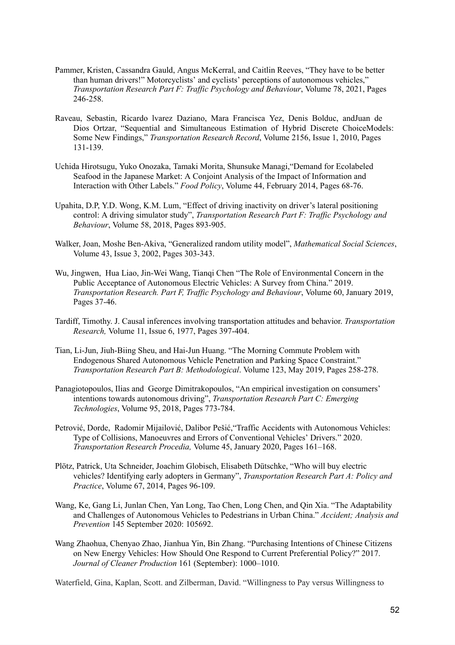- Pammer, Kristen, Cassandra Gauld, Angus McKerral, and Caitlin Reeves, "They have to be better than human drivers!" Motorcyclists' and cyclists' perceptions of autonomous vehicles," *Transportation Research Part F: Traffic Psychology and Behaviour*, Volume 78, 2021, Pages 246-258.
- Raveau, Sebastin, Ricardo lvarez Daziano, Mara Francisca Yez, Denis Bolduc, andJuan de Dios Ortzar, "Sequential and Simultaneous Estimation of Hybrid Discrete ChoiceModels: Some New Findings," *Transportation Research Record*, Volume 2156, Issue 1, 2010, Pages 131-139.
- Uchida Hirotsugu, Yuko Onozaka, Tamaki Morita, Shunsuke Managi[, "Demand for Ecolabeled](http://paperpile.com/b/4dwmEb/HEy9)  [Seafood in the Japanese Market: A Conjoint Analysis of the Impact of Information and](http://paperpile.com/b/4dwmEb/HEy9)  [Interaction with Other Labels."](http://paperpile.com/b/4dwmEb/HEy9) *[Food Policy](http://paperpile.com/b/4dwmEb/HEy9)* [, Volume 44, February 2014, Pages 68-76 .](http://paperpile.com/b/4dwmEb/HEy9)
- Upahita, D.P, Y.D. Wong, K.M. Lum, "Effect of driving inactivity on driver's lateral positioning control: A driving simulator study", *Transportation Research Part F: Traffic Psychology and Behaviour* , Volume 58, 2018, Pages 893-905.
- Walker, Joan, Moshe Ben-Akiva, "Generalized random utility model", *Mathematical Social Sciences* , Volume 43, Issue 3, 2002, Pages 303-343.
- Wu, Jingwen, Hua Liao, Jin-Wei Wang, Tianqi Chen ["The Role of Environmental Concern in the](http://paperpile.com/b/4dwmEb/xK0A)  [Public Acceptance of Autonomous Electric Vehicles: A Survey from China." 2019.](http://paperpile.com/b/4dwmEb/xK0A)  *[Transportation Research. Part F, Traffic Psychology and Behaviour](http://paperpile.com/b/4dwmEb/xK0A)* [, Volume 60, January 2019,](http://paperpile.com/b/4dwmEb/xK0A)  [Pages 37-46.](http://paperpile.com/b/4dwmEb/xK0A)
- Tardiff, Timothy. J. Causal inferences involving transportation attitudes and behavior. *Transportation Research,* Volume 11, Issue 6, 1977, Pages 397-404.
- [Tian, Li-Jun, Jiuh-Biing Sheu, and Hai-Jun Huang. "The Morning Commute Problem with](http://paperpile.com/b/4dwmEb/rdDT)  [Endogenous Shared Autonomous Vehicle Penetration and Parking Space Constraint."](http://paperpile.com/b/4dwmEb/rdDT)  *[Transportation Research Part B: Methodological](http://paperpile.com/b/4dwmEb/rdDT)* [.](http://paperpile.com/b/4dwmEb/rdDT) [Volume 123 ,](https://www.sciencedirect.com/science/journal/01912615/123/supp/C) May 2019, Pages 258-278.
- Panagiotopoulos, Ilias and George Dimitrakopoulos, "An empirical investigation on consumers' intentions towards autonomous driving", *Transportation Research Part C: Emerging Technologies* , Volume 95, 2018, Pages 773-784.
- Petrović, Dorde, Radomir Mijailović, Dalibor Pešić[, "Traffic Accidents with Autonomous Vehicles:](http://paperpile.com/b/4dwmEb/tUWE)  [Type of Collisions, Manoeuvres and Errors of Conventional Vehicles' Drivers." 2020.](http://paperpile.com/b/4dwmEb/tUWE)  *[Transportation Research Procedia,](http://paperpile.com/b/4dwmEb/tUWE)* [Volume 45, January 2020, Pages 161–168.](http://paperpile.com/b/4dwmEb/tUWE)
- Plötz, Patrick, Uta Schneider, Joachim Globisch, Elisabeth Dütschke, "Who will buy electric vehicles? Identifying early adopters in Germany", *Transportation Research Part A: Policy and Practice* , Volume 67, 2014, Pages 96-109.
- [Wang, Ke, Gang Li, Junlan Chen, Yan Long, Tao Chen, Long Chen, and Qin Xia. "The Adaptability](http://paperpile.com/b/4dwmEb/bSzs)  [and Challenges of Autonomous Vehicles to Pedestrians in Urban China."](http://paperpile.com/b/4dwmEb/bSzs) *[Accident; Analysis and](http://paperpile.com/b/4dwmEb/bSzs)  [Prevention](http://paperpile.com/b/4dwmEb/bSzs)* [145 September 2020: 105692.](http://paperpile.com/b/4dwmEb/bSzs)
- Wang Zhaohua, Chenyao Zhao, Jianhua Yin, Bin Zhang. ["Purchasing Intentions of Chinese Citizens](http://paperpile.com/b/4dwmEb/kpVZ)  [on New Energy Vehicles: How Should One Respond to Current Preferential Policy?" 2017.](http://paperpile.com/b/4dwmEb/kpVZ)  *[Journal of Cleaner Production](http://paperpile.com/b/4dwmEb/kpVZ)* [161 \(September\): 1000–1010.](http://paperpile.com/b/4dwmEb/kpVZ)

Waterfield, Gina, Kaplan, Scott. and Zilberman, David. "Willingness to Pay versus Willingness to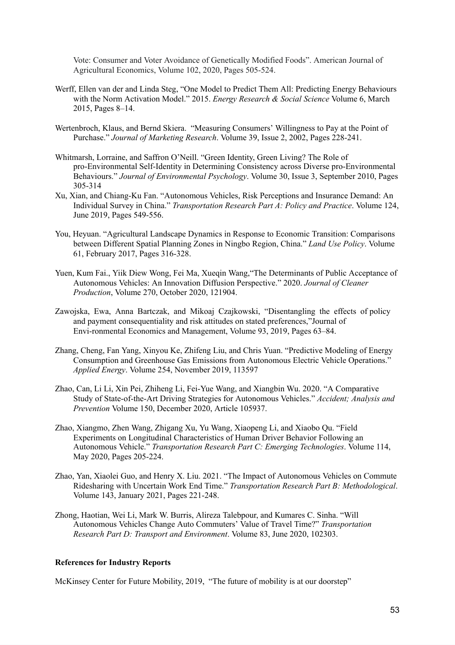Vote: Consumer and Voter Avoidance of Genetically Modified Foods". American Journal of Agricultural Economics, Volume 102, 2020, Pages 505-524.

- Werff, Ellen van der and Linda Steg, ["One Model to Predict Them All: Predicting Energy Behaviours](http://paperpile.com/b/4dwmEb/7EkP)  [with the Norm Activation Model." 2015.](http://paperpile.com/b/4dwmEb/7EkP) *[Energy Research & Social Science](http://paperpile.com/b/4dwmEb/7EkP)* [Volume 6, March](http://paperpile.com/b/4dwmEb/7EkP)  [2015, Pages 8–14.](http://paperpile.com/b/4dwmEb/7EkP)
- [Wertenbroch, Klaus, and Bernd Skiera. "Measuring Consumers' Willingness to Pay at the Point of](http://paperpile.com/b/4dwmEb/b7Gt)  [Purchase."](http://paperpile.com/b/4dwmEb/b7Gt) *[Journal of Marketing Research](http://paperpile.com/b/4dwmEb/b7Gt)* [. Volume 39, Issue 2, 2002,](http://paperpile.com/b/4dwmEb/b7Gt) Pages 228-241.
- [Whitmarsh, Lorraine, and Saffron O'Neill. "Green Identity, Green Living? The Role of](http://paperpile.com/b/4dwmEb/69dW)  [pro-Environmental Self-Identity in Determining Consistency across Diverse pro-Environmental](http://paperpile.com/b/4dwmEb/69dW)  [Behaviours."](http://paperpile.com/b/4dwmEb/69dW) *Journal of Environmental Psychology*[.](http://paperpile.com/b/4dwmEb/69dW) [Volume 30, Issue 3](https://www.sciencedirect.com/science/journal/02724944/30/3), September 2010, Pages 305-314
- [Xu, Xian, and Chiang-Ku Fan. "Autonomous Vehicles, Risk Perceptions and Insurance Demand: An](http://paperpile.com/b/4dwmEb/DqKI)  [Individual Survey in China."](http://paperpile.com/b/4dwmEb/DqKI) *[Transportation Research Part A: Policy and Practice](http://paperpile.com/b/4dwmEb/DqKI)* [.](http://paperpile.com/b/4dwmEb/DqKI) [Volume 124](https://www.sciencedirect.com/science/journal/09658564/124/supp/C) [,](http://paperpile.com/b/4dwmEb/DqKI)  [June 2019, Pages 549-556.](http://paperpile.com/b/4dwmEb/DqKI)
- [You, Heyuan. "Agricultural Landscape Dynamics in Response to Economic Transition: Comparisons](http://paperpile.com/b/4dwmEb/ZBCS)  [between Different Spatial Planning Zones in Ningbo Region, China."](http://paperpile.com/b/4dwmEb/ZBCS) *[Land Use Policy](http://paperpile.com/b/4dwmEb/ZBCS)* [.](http://paperpile.com/b/4dwmEb/ZBCS) [Volume](https://www.sciencedirect.com/science/journal/02648377/61/supp/C)  [61 ,](https://www.sciencedirect.com/science/journal/02648377/61/supp/C) February 2017, Pages 316-328.
- Yuen, Kum Fai., Yiik Diew Wong, Fei Ma, Xueqin Wang, ["The Determinants of Public Acceptance of](http://paperpile.com/b/4dwmEb/CQ5o)  [Autonomous Vehicles: An Innovation Diffusion Perspective." 2020.](http://paperpile.com/b/4dwmEb/CQ5o) *[Journal of Cleaner](http://paperpile.com/b/4dwmEb/CQ5o)  [Production](http://paperpile.com/b/4dwmEb/CQ5o)* [, Volume 270, October 2020, 121904.](http://paperpile.com/b/4dwmEb/CQ5o)
- Zawojska, Ewa, Anna Bartczak, and Mikoaj Czajkowski, "Disentangling the effects of policy and payment consequentiality and risk attitudes on stated preferences,"Journal of Envi-ronmental Economics and Management, Volume 93, 2019, Pages 63–84.
- [Zhang, Cheng, Fan Yang, Xinyou Ke, Zhifeng Liu, and Chris Yuan. "Predictive Modeling of Energy](http://paperpile.com/b/4dwmEb/1Ovk)  [Consumption and Greenhouse Gas Emissions from Autonomous Electric Vehicle Operations."](http://paperpile.com/b/4dwmEb/1Ovk)  *[Applied Energy](http://paperpile.com/b/4dwmEb/1Ovk)* [.](http://paperpile.com/b/4dwmEb/1Ovk) [Volume 254 ,](https://www.sciencedirect.com/science/journal/03062619/254/supp/C) November 2019, 113597
- [Zhao, Can, Li Li, Xin Pei, Zhiheng Li, Fei-Yue Wang, and Xiangbin Wu. 2020. "A Comparative](http://paperpile.com/b/4dwmEb/wzmq)  [Study of State-of-the-Art Driving Strategies for Autonomous Vehicles."](http://paperpile.com/b/4dwmEb/wzmq) *[Accident; Analysis and](http://paperpile.com/b/4dwmEb/wzmq)  [Prevention](http://paperpile.com/b/4dwmEb/wzmq)* [Volume 150, December 2020, Article 105937.](http://paperpile.com/b/4dwmEb/wzmq)
- [Zhao, Xiangmo, Zhen Wang, Zhigang Xu, Yu Wang, Xiaopeng Li, and Xiaobo Qu. "Field](http://paperpile.com/b/4dwmEb/rJAx)  [Experiments on Longitudinal Characteristics of Human Driver Behavior Following an](http://paperpile.com/b/4dwmEb/rJAx)  [Autonomous Vehicle."](http://paperpile.com/b/4dwmEb/rJAx) *Transportation Research Part C: Emerging Technologies*[.](http://paperpile.com/b/4dwmEb/rJAx) [Volume 114](https://www.sciencedirect.com/science/journal/0968090X/114/supp/C), [May 2020, Pages 205-224.](http://paperpile.com/b/4dwmEb/rJAx)
- [Zhao, Yan, Xiaolei Guo, and Henry X. Liu. 2021. "The Impact of Autonomous Vehicles on Commute](http://paperpile.com/b/4dwmEb/5n45)  [Ridesharing with Uncertain Work End Time."](http://paperpile.com/b/4dwmEb/5n45) *[Transportation Research Part B: Methodological](http://paperpile.com/b/4dwmEb/5n45)* [.](http://paperpile.com/b/4dwmEb/5n45)  [Volume 143](https://www.sciencedirect.com/science/journal/01912615/143/supp/C) [, January 2021, Pages 221-248.](http://paperpile.com/b/4dwmEb/5n45)
- [Zhong, Haotian, Wei Li, Mark W. Burris, Alireza Talebpour, and Kumares C. Sinha. "Will](http://paperpile.com/b/4dwmEb/z6e1)  [Autonomous Vehicles Change Auto Commuters' Value of Travel Time?"](http://paperpile.com/b/4dwmEb/z6e1) *[Transportation](http://paperpile.com/b/4dwmEb/z6e1)  Research Part D: Transport and Environment[.](http://paperpile.com/b/4dwmEb/z6e1) Volume 83, June 2020, 102303.*

#### **References for Industry Reports**

McKinsey Center for Future Mobility, 2019, "The future of mobility is at our doorstep"